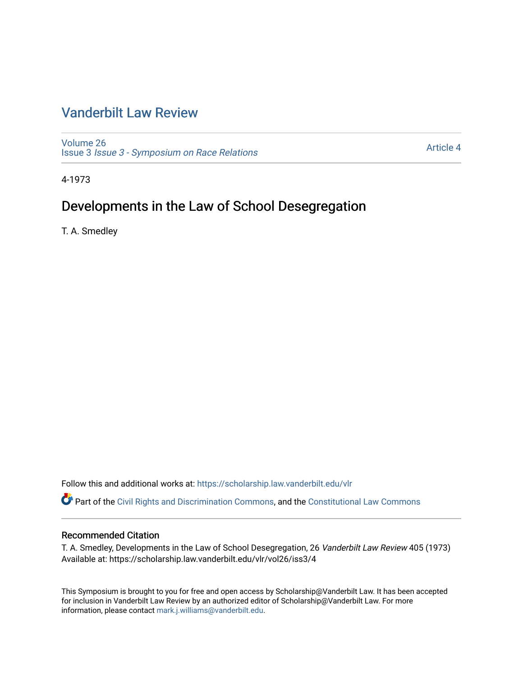### [Vanderbilt Law Review](https://scholarship.law.vanderbilt.edu/vlr)

[Volume 26](https://scholarship.law.vanderbilt.edu/vlr/vol26) Issue 3 [Issue 3 - Symposium on Race Relations](https://scholarship.law.vanderbilt.edu/vlr/vol26/iss3) 

[Article 4](https://scholarship.law.vanderbilt.edu/vlr/vol26/iss3/4) 

4-1973

## Developments in the Law of School Desegregation

T. A. Smedley

Follow this and additional works at: [https://scholarship.law.vanderbilt.edu/vlr](https://scholarship.law.vanderbilt.edu/vlr?utm_source=scholarship.law.vanderbilt.edu%2Fvlr%2Fvol26%2Fiss3%2F4&utm_medium=PDF&utm_campaign=PDFCoverPages)

Part of the [Civil Rights and Discrimination Commons,](http://network.bepress.com/hgg/discipline/585?utm_source=scholarship.law.vanderbilt.edu%2Fvlr%2Fvol26%2Fiss3%2F4&utm_medium=PDF&utm_campaign=PDFCoverPages) and the [Constitutional Law Commons](http://network.bepress.com/hgg/discipline/589?utm_source=scholarship.law.vanderbilt.edu%2Fvlr%2Fvol26%2Fiss3%2F4&utm_medium=PDF&utm_campaign=PDFCoverPages)

#### Recommended Citation

T. A. Smedley, Developments in the Law of School Desegregation, 26 Vanderbilt Law Review 405 (1973) Available at: https://scholarship.law.vanderbilt.edu/vlr/vol26/iss3/4

This Symposium is brought to you for free and open access by Scholarship@Vanderbilt Law. It has been accepted for inclusion in Vanderbilt Law Review by an authorized editor of Scholarship@Vanderbilt Law. For more information, please contact [mark.j.williams@vanderbilt.edu](mailto:mark.j.williams@vanderbilt.edu).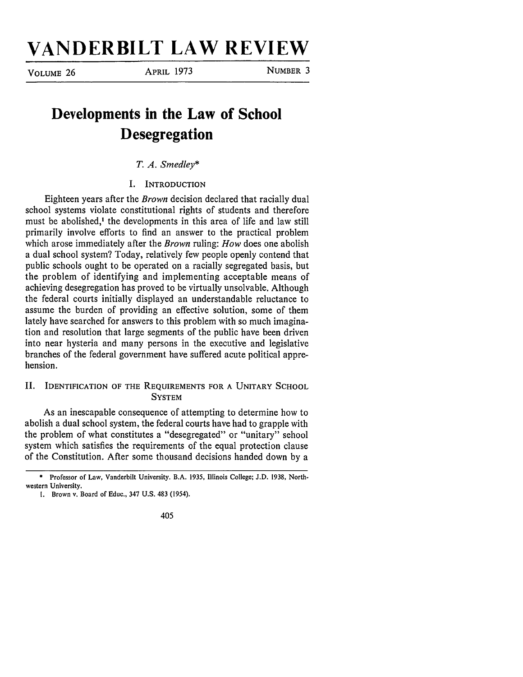# **VANDERBILT LAW REVIEW**

**VOLUME** 26 APRIL 1973 **NUMBER** 3

## **Developments in the Law of School Desegregation**

*T. A. Smedley\**

**I. INTRODUCTION**

Eighteen years after the *Brown* decision declared that racially dual school systems violate constitutional rights of students and therefore must be abolished,' the developments in this area of life and law still primarily involve efforts to find an answer to the practical problem which arose immediately after the *Brown* ruling: *How* does one abolish a dual school system? Today, relatively few people openly contend that public schools ought to be operated on a racially segregated basis, but the problem of identifying and implementing acceptable means of achieving desegregation has proved to be virtually unsolvable. Although the federal courts initially displayed an understandable reluctance to assume the burden of providing an effective solution, some of them lately have searched for answers to this problem with so much imagination and resolution that large segments of the public have been driven into near hysteria and many persons in the executive and legislative branches of the federal government have suffered acute political apprehension.

#### II. IDENTIFICATION OF THE **REQUIREMENTS** FOR **A** UNITARY **SCHOOL SYSTEM**

As an inescapable consequence of attempting to determine how to abolish a dual school system, the federal courts have had to grapple with the problem of what constitutes a "desegregated" or "unitary" school system which satisfies the requirements of the equal protection clause of the Constitution. After some thousand decisions handed down by a

**<sup>\*</sup>** Professor of Law, Vanderbilt University. **B.A. 1935,** Illinois College; **J.D. 1938,** Northwestern University.

I. Brown v. Board of Educ., 347 U.S. 483 (1954).

<sup>405</sup>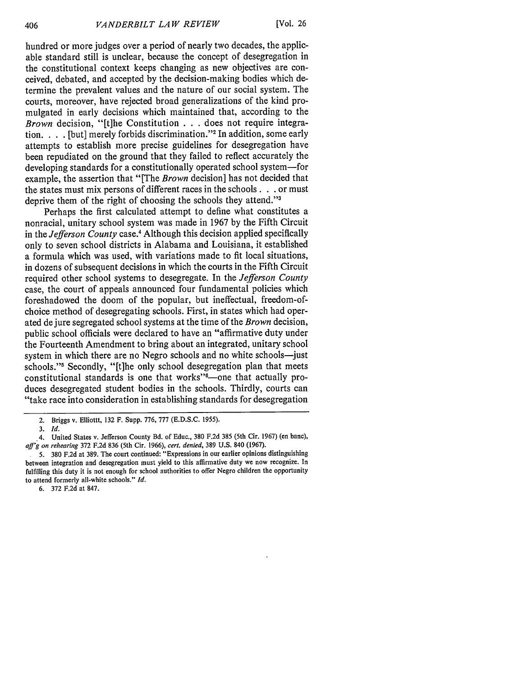hundred or more judges over a period of nearly two decades, the applicable standard still is unclear, because the concept of desegregation in the constitutional context keeps changing as new objectives are conceived, debated, and accepted by the decision-making bodies which determine the prevalent values and the nature of our social system. The courts, moreover, have rejected broad generalizations of the kind promulgated in early decisions which maintained that, according to the *Brown* decision, "[t]he Constitution . . . does not require integration. . . . [but] merely forbids discrimination."<sup>2</sup> In addition, some early attempts to establish more precise guidelines for desegregation have been repudiated on the ground that they failed to reflect accurately the developing standards for a constitutionally operated school system-for example, the assertion that "[The *Brown* decision] has not decided that the states must mix persons of different races in the schools. **. .** or must deprive them of the right of choosing the schools they attend."<sup>3</sup>

Perhaps the first calculated attempt to define what constitutes a nonracial, unitary school system was made in 1967 by the Fifth Circuit in the *Jefferson County* case.4 Although this decision applied specifically only to seven school districts in Alabama and Louisiana, it established a formula which was used, with variations made to fit local situations, in dozens of subsequent decisions in which the courts in the Fifth Circuit required other school systems to desegregate. In the *Jefferson County* case, the court of appeals announced four fundamental policies which foreshadowed the doom of the popular, but ineffectual, freedom-ofchoice method of desegregating schools. First, in states which had operated dejure segregated school systems at the time of the *Brown* decision, public school officials were declared to have an "affirmative duty under the Fourteenth Amendment to bring about an integrated, unitary school system in which there are no Negro schools and no white schools-just schools."<sup>5</sup> Secondly, "[t]he only school desegregation plan that meets constitutional standards is one that works"<sup>6</sup>-one that actually produces desegregated student bodies in the schools. Thirdly, courts can "take race into consideration in establishing standards for desegregation

6. 372 F.2d at 847.

<sup>2.</sup> Briggs v. Elliottt, 132 F. Supp. 776, 777 (E.D.S.C. 1955).

*<sup>3.</sup> Id.*

<sup>4.</sup> United States v. Jefferson County Bd. of Educ., 380 F.2d 385 (5th Cir. 1967) (en banc), *aff'g on rehearing* 372 F.2d 836 (5th Cir. 1966), *cert. denied,* 389 U.S. 840 (1967).

<sup>5. 380</sup> F.2d at 389. The court continued: "Expressions in our earlier opinions distinguishing between integration and desegregation must yield to this affirmative duty we now recognize. In fulfilling this duty it is not enough for school authorities to offer Negro children the opportunity to attend formerly all-white schools." *Id.*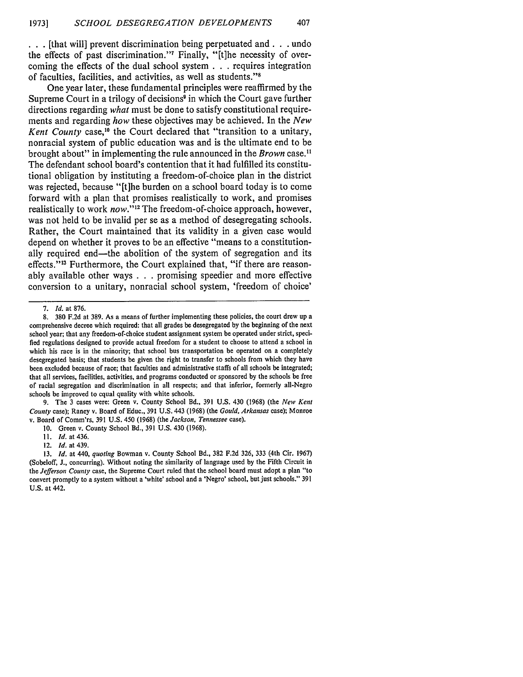**.. .** [that will] prevent discrimination being perpetuated and. **. .** undo the effects of past discrimination."<sup>7</sup> Finally, "[t]he necessity of overcoming the effects of the dual school system **. . .** requires integration of faculties, facilities, and activities, as well as students."<sup>8</sup>

One year later, these fundamental principles were reaffirmed **by** the Supreme Court in a trilogy of decisions<sup>9</sup> in which the Court gave further directions regarding *what* must be done to satisfy constitutional requirements and regarding *how* these objectives may be achieved. In the *New* Kent County case,<sup>10</sup> the Court declared that "transition to a unitary, nonracial system of public education was and is the ultimate end to be brought about" in implementing the rule announced in the *Brown* case." The defendant school board's contention that it had fulfilled its constitutional obligation **by** instituting a freedom-of-choice plan in the district was rejected, because "[t]he burden on a school board today is to come forward with a plan that promises realistically to work, and promises realistically to work *now*."<sup>12</sup> The freedom-of-choice approach, however, was not held to be invalid per se as a method of desegregating schools. Rather, the Court maintained that its validity in a given case would depend on whether it proves to be an effective "means to a constitutionally required end-the abolition of the system of segregation and its effects."<sup>13</sup> Furthermore, the Court explained that, "if there are reasonably available other ways **. . .** promising speedier and more effective conversion to a unitary, nonracial school system, 'freedom of choice'

9. The 3 cases were: Green v. County School Bd., 391 U.S. 430 (1968) (the *New Kent Count)'* case); Raney v. Board of Educ., 391 U.S. 443 (1968) (the *Gould, Arkansas* case); Monroe v. Board of Comm'rs, 391 U.S. 450 (1968) (the *Jackson, Tennessee* case).

<sup>7.</sup> *Id.* at 876.

<sup>8. 380</sup> F.2d at 389. As a means of further implementing these policies, the court drew up a comprehensive decree which required: that all grades be desegregated by the beginning of the next school year; that any freedom-of-choice student assignment system be operated under strict, specified regulations designed to provide actual freedom for a student to choose to attend a school in which his race is in the minority; that school bus transportation be operated on a completely desegregated basis; that students be given the right to transfer to schools from which they have been excluded because of race; that faculties and administrative staffs of all schools be integrated; that all services, facilities, activities, and programs conducted or sponsored by the schools be free of racial segregation and discrimination in all respects; and that inferior, formerly all-Negro schools be improved to equal quality with white schools.

<sup>10.</sup> Green v. County School Bd., 391 U.S. 430 (1968).

**<sup>11.</sup>** *Id.* at 436.

<sup>12.</sup> *Id.* at 439.

<sup>13.</sup> *Id.* at 440, *quoting* Bowman v. County School Bd., 382 F.2d 326, 333 (4th Cir. 1967) (Sobeloff, J., concurring). Without noting the similarity of language used by the Fifth Circuit in the *Jefferson County* case, the Supreme Court ruled that the school board must adopt a plan "to convert promptly to a system without a 'white' school and a 'Negro' school, but just schools." 391 U.S. at 442.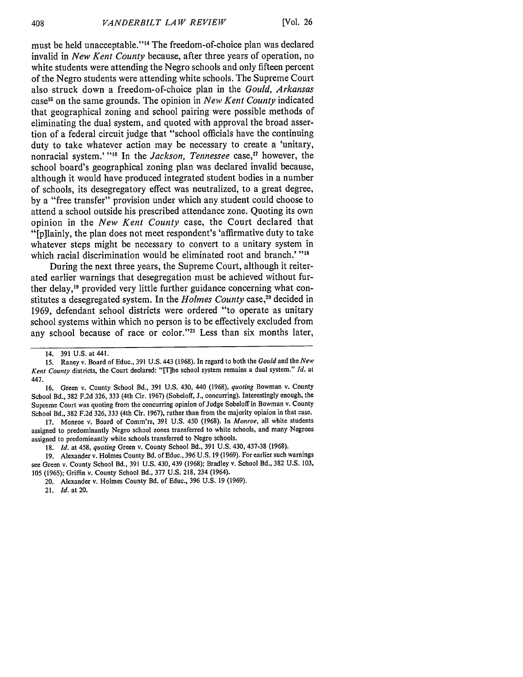must be held unacceptable."<sup>14</sup> The freedom-of-choice plan was declared invalid in *New Kent County* because, after three years of operation, no white students were attending the Negro schools and only fifteen percent of the Negro students were attending white schools. The Supreme Court also struck down a freedom-of-choice plan in the *Gould, Arkansas* case **<sup>1</sup> <sup>5</sup>**on the same grounds. The opinion in *New Kent County* indicated that geographical zoning and school pairing were possible methods of eliminating the dual system, and quoted with approval the broad assertion of a federal circuit judge that "school officials have the continuing duty to take whatever action may be necessary to create a 'unitary, nonracial system.' "<sup>16</sup> In the *Jackson, Tennessee* case,<sup>17</sup> however, the school board's geographical zoning plan was declared invalid because, although it would have produced integrated student bodies in a number of schools, its desegregatory effect was neutralized, to a great degree, **by** a "free transfer" provision under which any student could choose to attend a school outside his prescribed attendance zone. Quoting its own opinion in the *New Kent County* case, the Court declared that "[p]lainly, the plan does not meet respondent's 'affirmative duty to take whatever steps might be necessary to convert to a unitary system in which racial discrimination would be eliminated root and branch.' "<sup>18</sup>

During the next three years, the Supreme Court, although it reiterated earlier warnings that desegregation must be achieved without further delay,<sup>19</sup> provided very little further guidance concerning what constitutes a desegregated system. In the *Holmes County* case,<sup>20</sup> decided in **1969,** defendant school districts were ordered "to operate as unitary school systems within which no person is to be effectively excluded from any school because of race or color."<sup>21</sup> Less than six months later,

**16.** Green v. County School Bd., **391 U.S.** 430, 440 **(1968),** *quoting* Bowman v. County School Bd., **382 F.2d 326, 333** (4th Cir. **1967)** (Sobeloff, **J.,** concurring). Interestingly enough, the Supreme Court was quoting from the concurring opinion of Judge Sobeloff in Bowman v. County School Bd., **382 F.2d 326, 333** (4th Cir. **1967),** rather than from the majority opinion in that case.

**17.** Monroe v. Board of Comm'rs, **391 U.S.** 450 **(1968).** In *Monroe,* all white students assigned to predominantly Negro school zones transferred to white schools, and many Negroes assigned to predominantly white schools transferred to Negro schools.

**19.** Alexander v. Holmes County Bd. of Educ., **396 U.S. 19 (1969).** For earlier such warnings see Green v. County School Bd., **391 U.S.** 430, 439 **(1968);** Bradley v. School Bd., **382 U.S. 103, 105 (1965);** Griffin v. County School Bd., **377 U.S. 218,** 234 (1964).

**21. Id. at 20.**

<sup>14.</sup> **391 U.S.** at 441.

**<sup>15.</sup>** Raney v. Board of Educ., **391 U.S.** 443 **(1968).** In regard to both the **Gould** and the **New** *Kent County* districts, the Court declared: "[T]he school system remains a dual system." *Id.* at 447.

**<sup>18.</sup>** *Id.* at 458, *quoting* Green v. County School Bd., **391 U.S.** 430, **437-38 (1968).**

<sup>20.</sup> Alexander v. Holmes County Bd. of Educ., **396 U.S. 19 (1969).**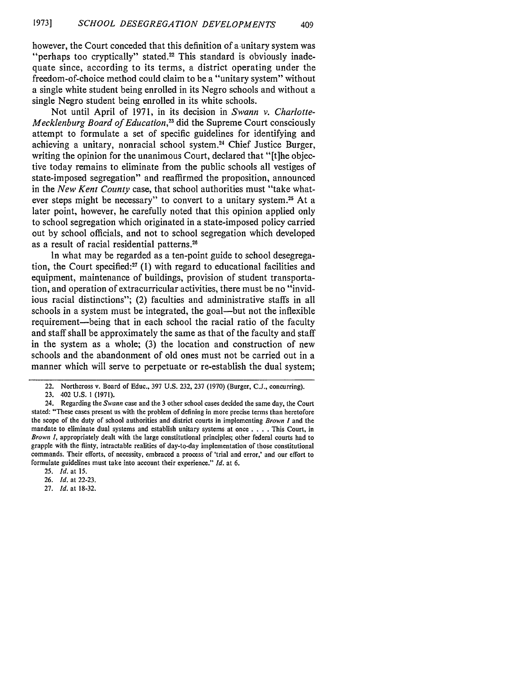however, the Court conceded that this definition of a unitary system was "perhaps too cryptically" stated.<sup>22</sup> This standard is obviously inadequate since, according to its terms, a district operating under the freedom-of-choice method could claim to be a "unitary system" without a single white student being enrolled in its Negro schools and without a single Negro student being enrolled in its white schools.

Not until April of 1971, in its decision in *Swann v. Charlotte-Mecklenburg Board of Education,3* did the Supreme Court consciously attempt to formulate a set of specific guidelines for identifying and achieving a unitary, nonracial school system.<sup>24</sup> Chief Justice Burger, writing the opinion for the unanimous Court, declared that "[t]he objective today remains to eliminate from the public schools all vestiges of state-imposed segregation" and reaffirmed the proposition, announced in the *New Kent County* case, that school authorities must "take whatever steps might be necessary" to convert to a unitary system.<sup>25</sup> At a later point, however, he carefully noted that this opinion applied only to school segregation which originated in a state-imposed policy carried out by school officials, and not to school segregation which developed as a result of racial residential patterns.<sup>26</sup>

In what may be regarded as a ten-point guide to school desegregation, the Court specified:<sup>27</sup> (1) with regard to educational facilities and equipment, maintenance of buildings, provision of student transportation, and operation of extracurricular activities, there must be no "invidious racial distinctions"; (2) faculties and administrative staffs in all schools in a system must be integrated, the goal—but not the inflexible requirement-being that in each school the racial ratio of the faculty and staff shall be approximately the same as that of the faculty and staff in the system as a whole; (3) the location and construction of new schools and the abandonment of old ones must not be carried out in a manner which will serve to perpetuate or re-establish the dual system;

27. *Id.* at 18-32.

<sup>22.</sup> Northcross v. Board of Educ., 397 U.S. 232, 237 (1970) (Burger, C.J., concurring).

<sup>23. 402</sup> U.S. 1 (1971).

<sup>24.</sup> Regarding the **Swann** case and the 3 other school cases decided the same day, the Court stated: "These cases present us with the problem of defining in more precise terms than heretofore the scope of the duty of school authorities and district courts in implementing *Brown I* and the mandate to eliminate dual systems and establish unitary systems at once . **. .** . This Court, in *Brown I.* appropriately dealt with the large constitutional principles; other federal courts had to grapple with the flinty, intractable realities of day-to-day implementation of those constitutional commands. Their efforts, of necessity, embraced a process of 'trial and error,' and our effort to formulate guidelines must take into account their experience." *Id.* at 6.

**<sup>25.</sup>** *Id.* at 15.

<sup>26.</sup> *Id.* at 22-23.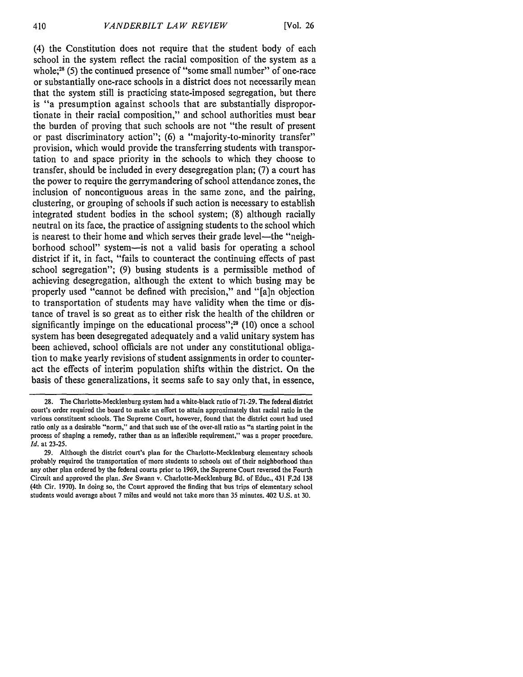(4) the Constitution does not require that the student body of each school in the system reflect the racial composition of the system as a whole:<sup>28</sup> (5) the continued presence of "some small number" of one-race or substantially one-race schools in a district does not necessarily mean that the system still is practicing state-imposed segregation, but there is "a presumption against schools that are substantially disproportionate in their racial composition," and school authorities must bear the burden of proving that such schools are not "the result of present or past discriminatory action"; (6) a "majority-to-minority transfer" provision, which would provide the transferring students with transportation to and space priority in the schools to which they choose to transfer, should be included in every desegregation plan; (7) a court has the power to require the gerrymandering of school attendance zones, the inclusion of noncontiguous areas in the same zone, and the pairing, clustering, or grouping of schools if such action is necessary to establish integrated student bodies in the school system; (8) although racially neutral on its face, the practice of assigning students to the school which is nearest to their home and which serves their grade level—the "neighborhood school" system-is not a valid basis for operating a school district if it, in fact, "fails to counteract the continuing effects of past school segregation"; (9) busing students is a permissible method of achieving desegregation, although the extent to which busing may be properly used "cannot be defined with precision," and "[a]n objection to transportation of students may have validity when the time or distance of travel is so great as to either risk the health of the children or significantly impinge on the educational process"; $29$  (10) once a school system has been desegregated adequately and a valid unitary system has been achieved, school officials are not under any constitutional obligation to make yearly revisions of student assignments in order to counteract the effects of interim population shifts within the district. On the basis of these generalizations, it seems safe to say only that, in essence,

<sup>28.</sup> The Charlotte-Mecklenburg system had a white-black ratio of 71-29. The federal district court's order required the board to make an effort to attain approximately that racial ratio in the various constituent schools. The Supreme Court, however, found that the district court had used ratio only as a desirable "norm," and that such use of the over-all ratio as "a starting point in the process of shaping a remedy, rather than as an inflexible requirement," was a proper procedure. *Id.* at 23-25.

<sup>29.</sup> Although the district court's plan for the Charlotte-Mecklenburg elementary schools probably required the transportation of more students to schools out of their neighborhood than any other plan ordered by the federal courts prior to 1969, the Supreme Court reversed the Fourth Circuit and approved the plan. *See* Swann v. Charlotte-Mecklenburg Bd. of Educ., 431 F.2d 138 (4th Cir. 1970). In doing so, the Court approved the finding that bus trips of elementary school students would average about 7 miles and would not take more than 35 minutes. 402 U.S. at 30.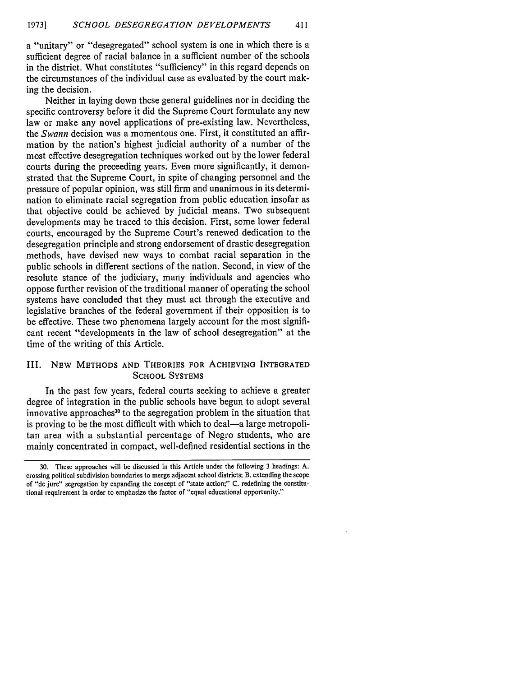a "unitary" or "desegregated" school system is one in which there is a sufficient degree of racial balance in a sufficient number of the schools in the district. What constitutes "sufficiency" in this regard depends on the circumstances of the individual case as evaluated by the court making the decision.

Neither in laying down these general guidelines nor in deciding the specific controversy before it did the Supreme Court formulate any new law or make any novel applications of pre-existing law. Nevertheless, the *Swann* decision was a momentous one. First, it constituted an affirmation by the nation's highest judicial authority of a number of the most effective desegregation techniques worked out by the lower federal courts during the preceeding years. Even more significantly, it demonstrated that the Supreme Court, in spite of changing personnel and the pressure of popular opinion, was still firm and unanimous in its determination to eliminate racial segregation from public education insofar as that objective could be achieved by judicial means. Two subsequent developments may be traced to this decision. First, some lower federal courts, encouraged by the Supreme Court's renewed dedication to the desegregation principle and strong endorsement of drastic desegregation methods, have devised new ways to combat racial separation in the public schools in different sections of the nation. Second, in view of the resolute stance of the judiciary, many individuals and agencies who oppose further revision of the traditional manner of operating the school systems have concluded that they must act through the executive and legislative branches of the federal government if their opposition is to be effective. These two phenomena largely account for the most significant recent "developments in the law of school desegregation" at the time of the writing of this Article.

#### III. **NEW METHODS AND** THEORIES FOR ACHIEVING **INTEGRATED SCHOOL SYSTEMS**

In the past few years, federal courts seeking to achieve a greater degree of integration in the public schools have begun to adopt several innovative approaches<sup>30</sup> to the segregation problem in the situation that is proving to be the most difficult with which to deal—a large metropolitan area with a substantial percentage of Negro students, who are mainly concentrated in compact, well-defined residential sections in the

<sup>30.</sup> These approaches will be discussed in this Article under the following 3 headings: A. crossing political subdivision boundaries to merge adjacent school districts; B. extending the scope of "de jure" segregation by expanding the concept of "state action;" C. redefining the constitutional requirement in order to emphasize the factor of "equal educational opportunity."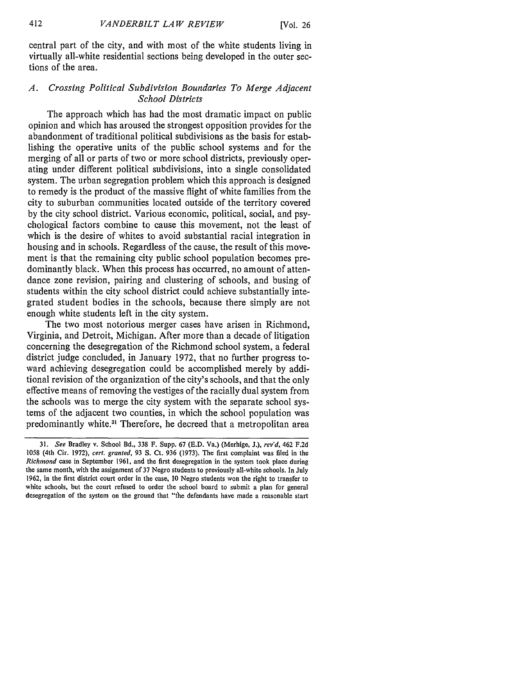central part of the city, and with most of the white students living in virtually all-white residential sections being developed in the outer sections of the area.

#### *A. Crossing Political Subdivision Boundaries To Merge Adjacent School Districts*

The approach which has had the most dramatic impact on public opinion and which has aroused the strongest opposition provides for the abandonment of traditional political subdivisions as the basis for establishing the operative units of the public school systems and for the merging of all or parts of two or more school districts, previously operating under different political subdivisions, into a single consolidated system. The urban segregation problem which this approach is designed to remedy is the product of the massive flight of white families from the city to suburban communities located outside of the territory covered by the city school district. Various economic, political, social, and psychological factors combine to cause this movement, not the least of which is the desire of whites to avoid substantial racial integration in housing and in schools. Regardless of the cause, the result of this movement is that the remaining city public school population becomes predominantly black. When this process has occurred, no amount of attendance zone revision, pairing and clustering of schools, and busing of students within the city school district could achieve substantially integrated student bodies in the schools, because there simply are not enough white students left in the city system.

The two most notorious merger cases have arisen in Richmond, Virginia, and Detroit, Michigan. After more than a decade of litigation concerning the desegregation of the Richmond school system, a federal district judge concluded, in January 1972, that no further progress toward achieving desegregation could be accomplished merely by additional revision of the organization of the city's schools, and that the only effective means of removing the vestiges of the racially dual system from the schools was to merge the city system with the separate school systems of the adjacent two counties, in which the school population was predominantly white.<sup>31</sup> Therefore, he decreed that a metropolitan area

<sup>31.</sup> *See* Bradley v. School Bd., 338 F. Supp. 67 (E.D. Va.) (Merhige, **J.),** *rev'd,* 462 F.2d 1058 (4th Cir. 1972), *cert. granted,* 93 **S.** Ct. 936 (1973). The first complaint was filed in the *Richmond* case in September 1961, and the first desegregation in the system took place during the same month, with the assignment of 37 Negro students to previously all-white schools. In July 1962, in the first district court order in the case, 10 Negro students won the right to transfer to white schools, but the court refused to order the school board to submit a plan for general desegregation of the system on the ground that "the defendants have made a reasonable start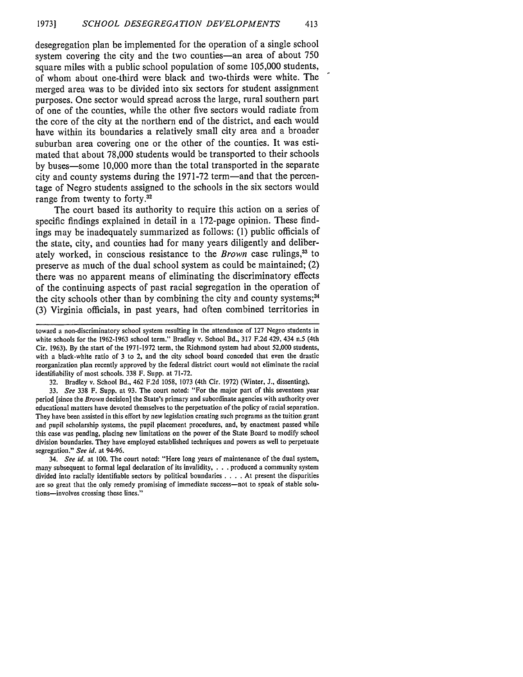desegregation plan be implemented for the operation of a single school system covering the city and the two counties-an area of about **750** square miles with a public school population of some **105,000** students, of whom about one-third were black and two-thirds were white. The merged area was to be divided into six sectors for student assignment purposes. One sector would spread across the large, rural southern part of one of the counties, while the other five sectors would radiate from the core of the city at the northern end of the district, and each would have within its boundaries a relatively small city area and a broader suburban area covering one or the other of the counties. It was estimated that about **78,000** students would be transported to their schools **by** buses-some **10,000** more than the total transported in the separate city and county systems during the **1971-72** term-and that the percentage of Negro students assigned to the schools in the six sectors would range from twenty to forty.<sup>32</sup>

The court based its authority to require this action on a series of specific findings explained in detail in a 172-page opinion. These findings may be inadequately summarized as follows: **(1)** public officials of the state, city, and counties had for many years diligently and deliberately worked, in conscious resistance to the *Brown* case rulings,<sup>33</sup> to preserve as much of the dual school system as could be maintained; (2) there was no apparent means of eliminating the discriminatory effects of the continuing aspects of past racial segregation in the operation of the city schools other than by combining the city and county systems:<sup>34</sup> **(3)** Virginia officials, in past years, had often combined territories in

toward a non-discriminatory school system resulting in the attendance of **127** Negro students in white schools for the **1962-1963** school term." Bradley v. School Bd., 317 F.2d 429, 434 n.5 (4th Cir. 1963). By the start of the 1971-1972 term, the Richmond system had about **52,000** students, with a black-white ratio of **3** to 2, and the city school board conceded that even the drastic reorganization plan recently approved by the federal district court would not eliminate the racial identifiability of most schools. 338 F. Supp. at 71-72.

<sup>32.</sup> Bradley v. School Bd., 462 F.2d 1058, 1073 (4th Cir. 1972) (Winter, J., dissenting).

<sup>33.</sup> *See* 338 F. Supp. at 93. The court noted: "For the major part of this seventeen year period [since the *Brown* decision] the State's primary and subordinate agencies with authority over educational matters have devoted themselves to the perpetuation of the policy of racial separation. They have been assisted in this effort **by** new legislation creating such programs as the tuition grant and pupil scholarship systems, the pupil placement procedures, and, by enactment passed while this case was pending, placing new limitations on the power of the State Board to modify school division boundaries. They have employed established techniques and powers as well to perpetuate segregation." *See id.* at 94-96.

<sup>34.</sup> *See id.* at 100. The court noted: "Here long years of maintenance of the dual system, many subsequent to formal legal declaration of its invalidity . **. ..** produced a community system divided into racially identifiable sectors **by** political boundaries .**. .** .At present the disparities are so great that the only remedy promising of immediate success-not to speak of stable solutions-involves crossing these lines."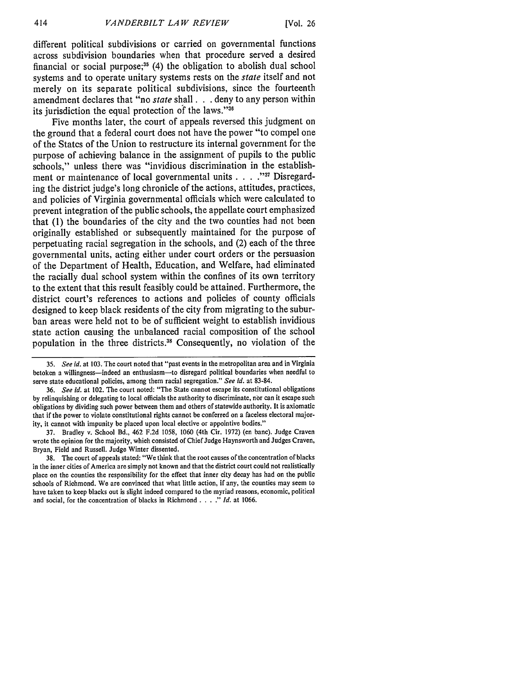different political subdivisions or carried on governmental functions across subdivision boundaries when that procedure served a desired financial or social purpose; $35(4)$  the obligation to abolish dual school systems and to operate unitary systems rests on the *state* itself and not merely on its separate political subdivisions, since the fourteenth amendment declares that "no state shall. **. .** deny to any person within its jurisdiction the equal protection **of** the laws."<sup>36</sup>

Five months later, the court of appeals reversed this judgment on the ground that a federal court does not have the power "to compel one of the States of the Union to restructure its internal government for the purpose of achieving balance in the assignment of pupils to the public schools," unless there was "invidious discrimination in the establishment or maintenance of local governmental units **. . . . 3** Disregarding the district judge's long chronicle of the actions, attitudes, practices, and policies of Virginia governmental officials which were calculated to prevent integration of the public schools, the appellate court emphasized that **(1)** the boundaries of the city and the two counties had not been originally established or subsequently maintained for the purpose of perpetuating racial segregation in the schools, and (2) each of the three governmental units, acting either under court orders or the persuasion of the Department of Health, Education, and Welfare, had eliminated the racially dual school system within the confines of its own territory to the extent that this result feasibly could be attained. Furthermore, the district court's references to actions and policies of county officials designed to keep black residents of the city from migrating to the suburban areas were held not to be of sufficient weight to establish invidious state action causing the unbalanced racial composition of the school population in the three districts.38 Consequently, no violation of the

**<sup>35.</sup>** *See id.* at **103.** The court noted that "past events in the metropolitan area and in Virginia betoken a willingness-indeed an enthusiasm-to disregard political boundaries when needful to serve state educational policies, among them racial segregation." *See id.* at **83-84.**

**<sup>36.</sup>** *See id.* at 102. The court noted: "The State cannot escape its constitutional obligations **by** relinquishing or delegating to local officials the authority to discriminate, **nbr** can it escape such obligations **by** dividing such power between them and others of statewide authority. It is axiomatic that if the power to violate constitutional rights cannot be conferred on a faceless electoral majority, it cannot with impunity be placed upon local elective or appointive bodies."

**<sup>37.</sup>** Bradley v. School Bd., 462 **F.2d 1058, 1060** (4th Cir. **1972)** (en bane). Judge Craven wrote the opinion for the majority, which consisted of Chief Judge Haynsworth and Judges Craven, Bryan, Field and Russell. Judge Winter dissented.

**<sup>38.</sup>** The court of appeals stated: "We think that the root causes of the concentration of blacks in the inner cities of America are simply not known and that the district court could not realistically place on the counties the responsibility for the effect that inner city decay has had on the public schools of Richmond. We are convinced that what little action, if any, the counties may seem to have taken to keep blacks out is slight indeed compared to the myriad reasons, economic, political and social, for the concentration of blacks in Richmond. **...** *Id.* at **1066.**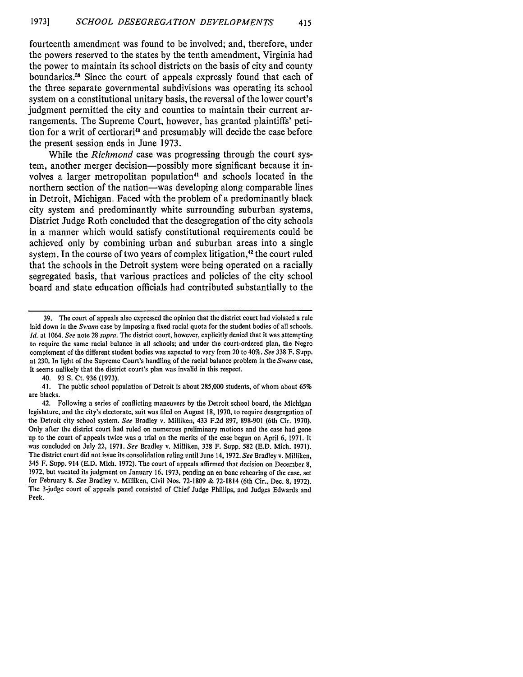fourteenth amendment was found to be involved; and, therefore, under the powers reserved to the states **by** the tenth amendment, Virginia had the power to maintain its school districts on the basis of city and county boundaries.<sup>39</sup> Since the court of appeals expressly found that each of the three separate governmental subdivisions was operating its school system on a constitutional unitary basis, the reversal of the lower court's judgment permitted the city and counties to maintain their current arrangements. The Supreme Court, however, has granted plaintiffs' petition for a writ of certiorari<sup>40</sup> and presumably will decide the case before the present session ends in June **1973.**

While the *Richmond* case was progressing through the court system, another merger decision-possibly more significant because it involves a larger metropolitan population<sup>41</sup> and schools located in the northern section of the nation—was developing along comparable lines in Detroit, Michigan. Faced with the problem of a predominantly black city system and predominantly white surrounding suburban systems, District Judge Roth concluded that the desegregation of the city schools in a manner which would satisfy constitutional requirements could be achieved only **by** combining urban and suburban areas into a single system. In the course of two years of complex litigation,<sup>42</sup> the court ruled that the schools in the Detroit system were being operated on a racially segregated basis, that various practices and policies of the city school board and state education officials had contributed substantially to the

40. 93 S. Ct. 936 (1973).

41. The public school population of Detroit is about **285,000** students, of whom about 65% are blacks.

<sup>39.</sup> The court of appeals also expressed the opinion that the district court had violated a rule laid down in the *Swann* case **by** imposing a fixed racial quota for the student bodies of all schools. *Id.* at 1064. *See* note 28 *supra.* The district court, however, explicitly denied that it was attempting to require the same racial balance in all schools; and under the court-ordered plan, the Negro complement of the different student bodies was expected to vary from 20 to 40%. *See* 338 F. Supp. at 230. In light of the Supreme Court's handling of the racial balance problem in the *Swann* case, it seems unlikely that the district court's plan was invalid in this respect.

<sup>42.</sup> Following a series of conflicting maneuvers **by** the Detroit school board, the Michigan legislature, and the city's electorate, suit was **filed** on August 18, 1970, to require desegregation of the Detroit city school system. *See* Bradley v. Milliken, 433 F.2d 897, 898-901 (6th Cir. 1970). Only after the district court had ruled on numerous preliminary motions and the case had gone up to the court of appeals twice was a trial on the merits of the case begun on April 6, 1971. It was concluded on July 22, 1971. *See* Bradley v. Milliken, 338 F. Supp. 582 (E.D. Mich. 1971). The district court did not issue its consolidation ruling until June 14, 1972. *See* Bradley v. Milliken, 345 F. Supp. 914 (E.D. Mich. 1972). The court of appeals affirmed that decision on December 8, 1972. but vacated its judgment on January 16, 1973, pending an en banc rehearing of the case, set for February 8. *See* Bradley v. Milliken, Civil Nos. 72-1809 & 72-1814 (6th Cir., Dec. 8, 1972). The 3-judge court of appeals panel consisted of Chief Judge Phillips, and Judges Edwards and Peek.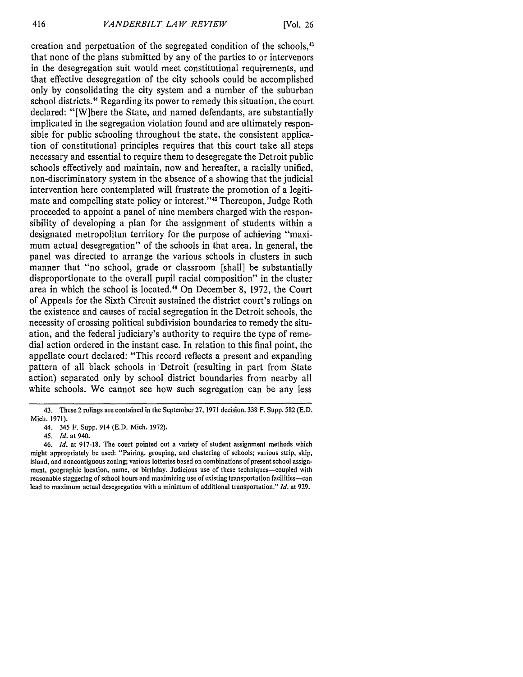creation and perpetuation of the segregated condition of the schools,43 that none of the plans submitted by any of the parties to or intervenors in the desegregation suit would meet constitutional requirements, and that effective desegregation of the city schools could be accomplished only by consolidating the city system and a number of the suburban school districts. 44 Regarding its power to remedy this situation, the court declared: "[W]here the State, and named defendants, are substantially implicated in the segregation violation found and are ultimately responsible for public schooling throughout the state, the consistent application of constitutional principles requires that this court take all steps necessary and essential to require them to desegregate the Detroit public schools effectively and maintain, now and hereafter, a racially unified, non-discriminatory system in the absence of a showing that the judicial intervention here contemplated will frustrate the promotion of a legitimate and compelling state policy or interest."<sup>45</sup> Thereupon, Judge Roth proceeded to appoint a panel of nine members charged with the responsibility of developing a plan for the assignment of students within a designated metropolitan territory for the purpose of achieving "maximum actual desegregation" of the schools in that area. In general, the panel was directed to arrange the various schools in clusters in such manner that "no school, grade or classroom [shall] be substantially disproportionate to the overall pupil racial composition" in the cluster area in which the school is located.<sup>46</sup> On December 8, 1972, the Court of Appeals for the Sixth Circuit sustained the district court's rulings on the existence and causes of racial segregation in the Detroit schools, the necessity of crossing political subdivision boundaries to remedy the situation, and the federal judiciary's authority to require the type of remedial action ordered in the instant case. In relation to this final point, the appellate court declared: "This record reflects a present and expanding pattern of all black schools in Detroit (resulting in part from State action) separated only by school district boundaries from nearby all white schools. We cannot see how such segregation can be any less

<sup>43.</sup> These 2 rulings are contained in the September 27, 1971 decision. 338 F. Supp. 582 (E.D. Mich. 1971).

<sup>44. 345</sup> F. Supp. 914 (E.D. Mich. 1972).

<sup>45.</sup> *Id.* at 940.

<sup>46.</sup> *Id.* at 917-18. The court pointed out a variety of student assignment methods which might appropriately be used: "Pairing, grouping, and clustering of schools; various strip, skip, island, and noncontiguous zoning; various lotteries based on combinations of present school assignment, geographic location, name, or birthday. Judicious use of these techniques-coupled with reasonable staggering of school hours and maximizing use of existing transportation facilities-can lead to maximum actual desegregation with a minimum of additional transportation." *Id.* at 929.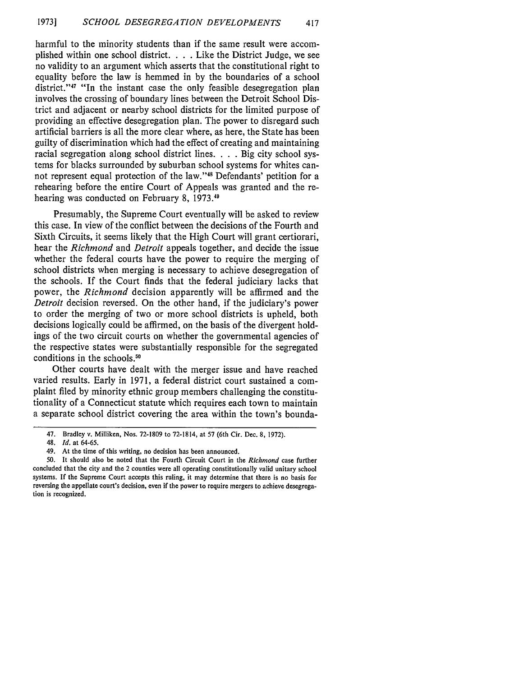harmful to the minority students than if the same result were accomplished within one school district. . **.** .Like the District Judge, we see no validity to an argument which asserts that the constitutional right to equality before the law is hemmed in by the boundaries of a school district."<sup>47</sup> "In the instant case the only feasible desegregation plan involves the crossing of boundary lines between the Detroit School District and adjacent or nearby school districts for the limited purpose of providing an effective desegregation plan. The power to disregard such artificial barriers is all the more clear where, as here, the State has been guilty of discrimination which had the effect of creating and maintaining racial segregation along school district lines. . . . Big city school systems for blacks surrounded by suburban school systems for whites cannot represent equal protection of the law."<sup>48</sup> Defendants' petition for a rehearing before the entire Court of Appeals was granted and the rehearing was conducted on February 8, **1973.11**

Presumably, the Supreme Court eventually will be asked to review this case. In view of the conflict between the decisions of the Fourth and Sixth Circuits, it seems likely that the High Court will grant certiorari, hear the *Richmond* and *Detroit* appeals together, and decide the issue whether the federal courts have the power to require the merging of school districts when merging is necessary to achieve desegregation of the schools. If the Court finds that the federal judiciary lacks that power, the *Richmond* decision apparently will be affirmed and the *Detroit* decision reversed. On the other hand, if the judiciary's power to order the merging of two or more school districts is upheld, both decisions logically could be affirmed, on the basis of the divergent holdings of the two circuit courts on whether the governmental agencies of the respective states were substantially responsible for the segregated conditions in the schools.<sup>50</sup>

Other courts have dealt with the merger issue and have reached varied results. Early in **1971,** a federal district court sustained a complaint filed **by** minority ethnic group members challenging the constitutionality of a Connecticut statute which requires each town to maintain a separate school district covering the area within the town's bounda-

<sup>47.</sup> Bradley v. Milliken, Nos. **72-1809** to **72-1814,** at **57** (6th Cir. Dec. **8, 1972).**

<sup>48.</sup> *Id.* at **64-65.**

<sup>49.</sup> At the time of this writing, no decision has been announced.

**<sup>50.</sup>** It should also be noted that the Fourth Circuit Court in the *Richmond* case further concluded that the city and the 2 counties were all operating constitutionally valid unitary school systems. **If** the Supreme Court accepts this ruling, it may determine that there is no basis for reversing the appellate court's decision, even if the power to require mergers to achieve desegregation is recognized.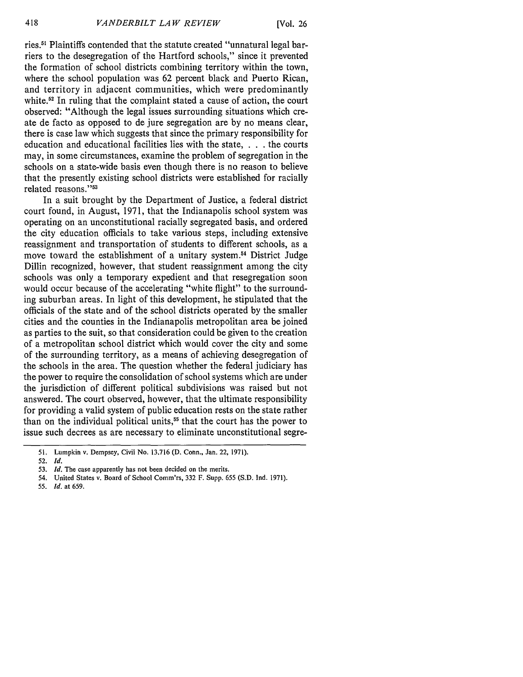ries.<sup>51</sup> Plaintiffs contended that the statute created "unnatural legal barriers to the desegregation of the Hartford schools," since it prevented the formation of school districts combining territory within the town, where the school population was 62 percent black and Puerto Rican, and territory in adjacent communities, which were predominantly white.<sup>52</sup> In ruling that the complaint stated a cause of action, the court observed: "Although the legal issues surrounding situations which create de facto as opposed to de jure segregation are by no means clear, there is case law which suggests that since the primary responsibility for education and educational facilities lies with the state, . **.** .the courts may, in some circumstances, examine the problem of segregation in the schools on a state-wide basis even though there is no reason to believe that the presently existing school districts were established for racially related reasons."<sup>53</sup>

In a suit brought by the Department of Justice, a federal district court found, in August, 1971, that the Indianapolis school system was operating on an unconstitutional racially segregated basis, and ordered the city education officials to take various steps, including extensive reassignment and transportation of students to different schools, as a move toward the establishment of a unitary system.54 District Judge Dillin recognized, however, that student reassignment among the city schools was only a temporary expedient and that resegregation soon would occur because of the accelerating "white flight" to the surrounding suburban areas. In light of this development, he stipulated that the officials of the state and of the school districts operated by the smaller cities and the counties in the Indianapolis metropolitan area be joined as parties to the suit, so that consideration could be given to the creation of a metropolitan school district which would cover the city and some of the surrounding territory, as a means of achieving desegregation of the schools in the area. The question whether the federal judiciary has the power to require the consolidation of school systems which are under the jurisdiction of different political subdivisions was raised but not answered. The court observed, however, that the ultimate responsibility for providing a valid system of public education rests on the state rather than on the individual political units,<sup>55</sup> that the court has the power to issue such decrees as are necessary to eliminate unconstitutional segre-

**55.** *Id.* at **659.**

**<sup>51.</sup>** Lumpkin v. Dempsey, Civil No. **13.716 (D.** Conn., Jan. 22, **1971).**

**<sup>52.</sup>** *Id.*

**<sup>53.</sup>** *Id.* The case apparently has not been decided on the merits.

<sup>54.</sup> United States v. Board of School Comm'rs, **332** F. Supp. **655 (S.D.** Ind. **1971).**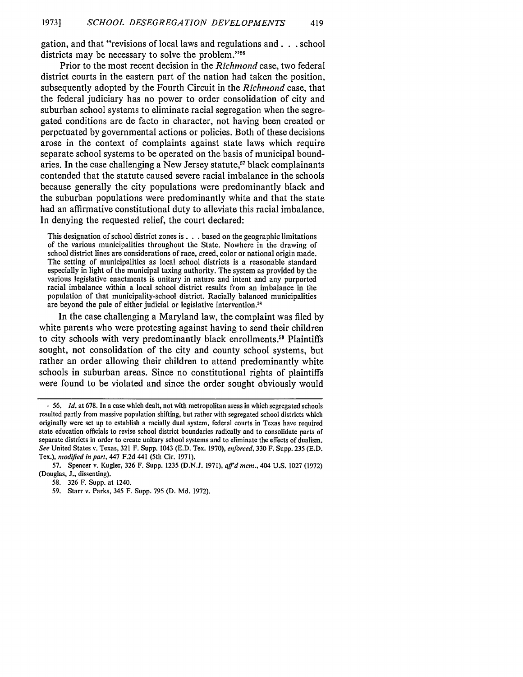gation, and that "revisions of local laws and regulations and. **. .** school districts may be necessary to solve the problem."<sup>56</sup>

Prior to the most recent decision in the *Richmond* case, two federal district courts in the eastern part of the nation had taken the position, subsequently adopted by the Fourth Circuit in the *Richmond* case, that the federal judiciary has no power to order consolidation of city and suburban school systems to eliminate racial segregation when the segregated conditions are de facto in character, not having been created or perpetuated by governmental actions or policies. Both of these decisions arose in the context of complaints against state laws which require separate school systems to be operated on the basis of municipal boundaries. In the case challenging a New Jersey statute,<sup>57</sup> black complainants contended that the statute caused severe racial imbalance in the schools because generally the city populations were predominantly black and the suburban populations were predominantly white and that the state had an affirmative constitutional duty to alleviate this racial imbalance. In denying the requested relief, the court declared:

This designation of school district zones **is. .** .based on the geographic limitations of the various municipalities throughout the State. Nowhere in the drawing of school district lines are considerations of race, creed, color or national origin made. The setting of municipalities as local school districts is a reasonable standard especially in light of the municipal taxing authority. The system as provided by the various legislative enactments is unitary in nature and intent and any purported racial imbalance within a local school district results from an imbalance in the population of that municipality-school district. Racially balanced municipalities are beyond the pale of either judicial or legislative intervention.<sup>58</sup>

In the case challenging a Maryland law, the complaint was filed by white parents who were protesting against having to send their children to city schools with very predominantly black enrollments.<sup>59</sup> Plaintiffs sought, not consolidation of the city and county school systems, but rather an order allowing their children to attend predominantly white schools in suburban areas. Since no constitutional rights of plaintiffs were found to be violated and since the order sought obviously would

**<sup>,</sup>** 56. *Id.* at 678. In a case which dealt, not with metropolitan areas in which segregated schools resulted partly from massive population shifting, but rather with segregated school districts which originally were set up to establish a racially dual system, federal courts in Texas have required state education officials to revise school district boundaries radically and to consolidate parts of separate districts in order to create unitary school systems and to eliminate the effects of dualism. *See* United States v. Texas, 321 F. Supp. 1043 (E.D. Tex. 1970), *enforced,* 330 F. Supp. 235 (E.D. Tex.), *modified in part,* 447 F.2d 441 (5th Cir. 1971).

<sup>57.</sup> Spencer v. Kugler, 326 F. Supp. 1235 (D.N.J. 1971), *affdmem.,* 404 U.S. 1027 (1972) (Douglas, J., dissenting).

<sup>58. 326</sup> F. Supp. at 1240.

<sup>59.</sup> Starr v. Parks, 345 F. Supp. **795** (D. Md. 1972).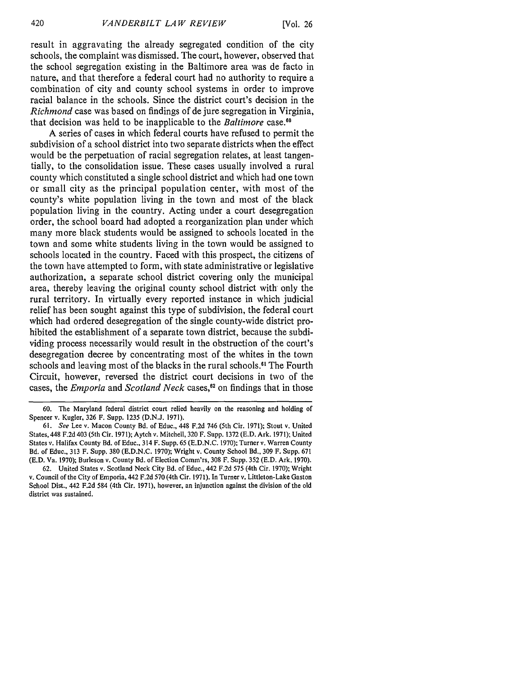result in aggravating the already segregated condition of the city schools, the complaint was dismissed. The court, however, observed that the school segregation existing in the Baltimore area was de facto in nature, and that therefore a federal court had no authority to require a combination of city and county school systems in order to improve racial balance in the schools. Since the district court's decision in the *Richmond* case was based on findings of de jure segregation in Virginia, that decision was held to be inapplicable to the *Baltimore* case.<sup>60</sup>

A series of cases in which federal courts have refused to permit the subdivision of a school district into two separate districts when the effect would be the perpetuation of racial segregation relates, at least tangentially, to the consolidation issue. These cases usually involved a rural county which constituted a single school district and which had one town or small city as the principal population center, with most of the county's white population living in the town and most of the black population living in the country. Acting under a court desegregation order, the school board had adopted a reorganization plan under which many more black students would be assigned to schools located in the town and some white students living in the town would be assigned to schools located in the country. Faced with this prospect, the citizens of the town have attempted to form, with state administrative or legislative authorization, a separate school district covering only the municipal area, thereby leaving the original county school district with only the rural territory. In virtually every reported instance in which judicial relief has been sought against this type of subdivision, the federal court which had ordered desegregation of the single county-wide district prohibited the establishment of a separate town district, because the subdividing process necessarily would result in the obstruction of the court's desegregation decree by concentrating most of the whites in the town schools and leaving most of the blacks in the rural schools."' The Fourth Circuit, however, reversed the district court decisions in two of the cases, the *Emporia* and *Scotland Neck* cases,<sup>62</sup> on findings that in those

<sup>60.</sup> The Maryland federal district court relied heavily on the reasoning and holding of Spencer v. Kugler, 326 F. Supp. 1235 (D.N.J. 1971).

<sup>61.</sup> See Lee v. Macon County Bd. of Educ., 448 F.2d 746 (5th Cir. 1971); Stout v. United States, 448 F.2d 403 (5th Cir. 1971); Aytch v. Mitchell, 320 F. Supp. 1372 (E.D. Ark. 1971); United States v. Halifax County Bd. of Educ., 314 F. Supp. 65 (E.D.N.C. 1970); Turner v. Warren County Bd. of Educ., 313 F. Supp. 380 (E.D.N.C. 1970); Wright v. County School Bd., 309 F. Supp. 671 (E.D. Va. 1970); Burleson v. County Bd. of Election Comm'rs, 308 F. Supp. 352 (E.D. Ark. 1970).

<sup>62.</sup> United States v. Scotland Neck City Bd. of Educ., 442 F.2d 575 (4th Cir. 1970); Wright v. Council of the City of Emporia, 442 F.2d 570 (4th Cir. 1971). In Turner v. Littleton-Lake Gaston School Dist., 442 F.2d 584 (4th Cir. 1971), however, an injunction against the division of the old district was sustained.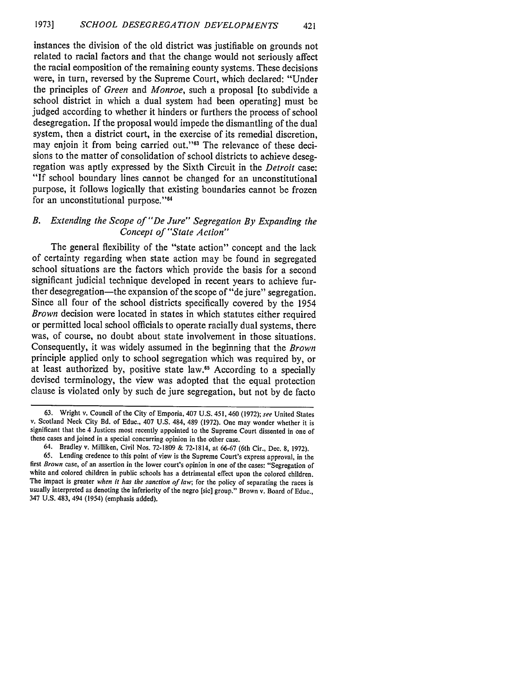instances the division of the old district was justifiable on grounds not related to racial factors and that the change would not seriously affect the racial composition of the remaining county systems. These decisions were, in turn, reversed by the Supreme Court, which declared: "Under the principles of *Green* and *Monroe,* such a proposal [to subdivide a school district in which a dual system had been operating] must be judged according to whether it hinders or furthers the process of school desegregation. If the proposal would impede the dismantling of the dual system, then a district court, in the exercise of its remedial discretion, may enjoin it from being carried out."<sup>63</sup> The relevance of these decisions to the matter of consolidation of school districts to achieve desegregation was aptly expressed by the Sixth Circuit in the *Detroit* case: "If school boundary lines cannot be changed for an unconstitutional purpose, it follows logically that existing boundaries cannot be frozen for an unconstitutional purpose."<sup>64</sup>

#### *B. Extending the Scope of "De Jure" Segregation By Expanding the Concept of "State Action"*

The general flexibility of the "state action" concept and the lack of certainty regarding when state action may be found in segregated school situations are the factors which provide the basis for a second significant judicial technique developed in recent years to achieve further desegregation—the expansion of the scope of "de jure" segregation. Since all four of the school districts specifically covered by the 1954 *Brown* decision were located in states in which statutes either required or permitted local school officials to operate racially dual systems, there was, of course, no doubt about state involvement in those situations. Consequently, it was widely assumed in the beginning that the *Brown* principle applied only to school segregation which was required by, or at least authorized by, positive state law.<sup>65</sup> According to a specially devised terminology, the view was adopted that the equal protection clause is violated only by such de jure segregation, but not by de facto

<sup>63.</sup> Wright v. Council of the City of Emporia, 407 U.S. 451, 460 (1972); *see* United States v. Scotland Neck City Bd. of Educ., 407 U.S. 484, 489 (1972). One may wonder whether it is significant that the 4 Justices most recently appointed to the Supreme Court dissented in one of these cases and joined in a special concurring opinion in the other case.

<sup>64.</sup> Bradley v. Milliken, Civil Nos. 72-1809 & 72-1814, at 66-67 (6th Cir., Dec. 8, 1972). 65. Lending credence to this point of view is the Supreme Court's express approval, in the first *Brown* case, of an assertion in the lower court's opinion in one of the cases: "Segregation of white and colored children in public schools has a detrimental effect upon the colored children. The impact is greater *when it has the sanction of law;* for the policy of separating the races is usually interpreted as denoting the inferiority of the negro [sic] group." Brown v. Board of Educ., 347 U.S. 483, 494 (1954) (emphasis added).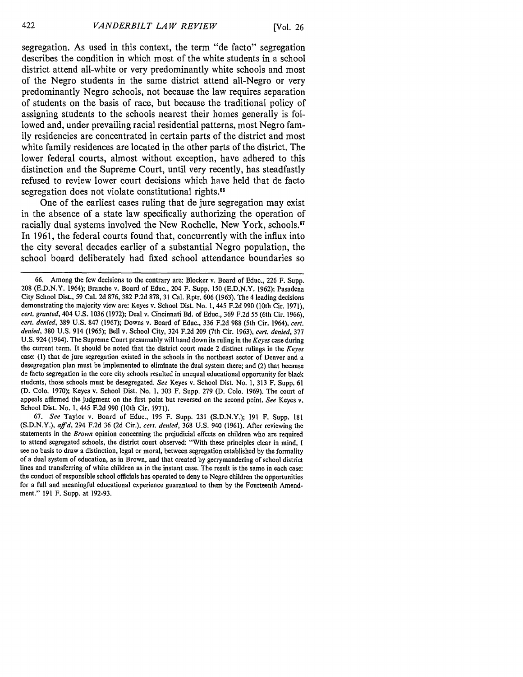segregation. As used in this context, the term "de facto" segregation describes the condition in which most of the white students in a school district attend all-white or very predominantly white schools and most of the Negro students in the same district attend all-Negro or very predominantly Negro schools, not because the law requires separation of students on the basis of race, but because the traditional policy of assigning students to the schools nearest their homes generally is followed and, under prevailing racial residential patterns, most Negro family residencies are concentrated in certain parts of the district and most white family residences are located in the other parts of the district. The lower federal courts, almost without exception, have adhered to this distinction and the Supreme Court, until very recently, has steadfastly refused to review lower court decisions which have held that de facto segregation does not violate constitutional rights.<sup>66</sup>

One of the earliest cases ruling that de jure segregation may exist in the absence of a state law specifically authorizing the operation of racially dual systems involved the New Rochelle, New York, schools.<sup>67</sup> In **1961,** the federal courts found that, concurrently with the influx into the city several decades earlier of a substantial Negro population, the school board deliberately had fixed school attendance boundaries so

<sup>66.</sup> Among the few decisions to the contrary are: Blocker v. Board of Educ., 226 F. Supp. 208 (E.D.N.Y. 1964); Branche v. Board of Educ., 204 F. Supp. 150 (E.D.N.Y. 1962); Pasadena City School Dist., 59 Cal. 2d 876, 382 P.2d 878, 31 Cal. Rptr. 606 (1963). The 4 leading decisions demonstrating the majority view are: Keyes v. School Dist. No. 1,445 F.2d 990 (10th Cir. 1971), *cert. granted,* 404 U.S. 1036 (1972); Deal v. Cincinnati Bd. of Educ., 369 F.2d 55 (6th Cir. 1966), *cert. denied,* 389 U.S. 847 (1967); Downs v. Board of Educ., 336 F.2d 988 (5th Cir. 1964), *cert. denied,* 380 U.S. 914 (1965); Bell v. School City, 324 F.2d 209 (7th Cir. 1963), *cert. denied,* 377 U.S. 924 (1964). The Supreme Court presumably will hand down its ruling in the *Keyes* case during the current term. It should be noted that the district court made 2 distinct rulings in the *Keyes* case: (1) that de jure segregation existed in the schools in the northeast sector of Denver and a desegregation plan must be implemented to eliminate the dual system there; and (2) that because de facto segregation in the core city schools resulted in unequal educational opportunity for black students, those schools must be desegregated. *See* Keyes v. School Dist. No. 1, 313 F. Supp. 61 (D. Colo. 1970); Keyes v. School Dist. No. 1, 303 F. Supp. 279 (D. Colo. 1969). The court of appeals affirmed the judgment on the first point but reversed on the second point. *See* Keyes v. School Dist. No. 1, 445 F.2d 990 (10th Cir. 1971).

<sup>67.</sup> *See* Taylor v. Board of Educ., 195 F. Supp. 231 (S.D.N.Y.); 191 F. Supp. 181 (S.D.N.Y.), *affd,* 294 F.2d 36 (2d Cir.), *cert. denied,* 368 U.S. 940 (1961). After reviewing the statements in the *Brown* opinion concerning the prejudicial effects on children who are required to attend segregated schools, the district court observed: "With these principles clear in mind, I see no basis to draw a distinction, legal or moral, between segregation established by the formality of a dual system of education, as in Brown, and that created by gerrymandering of school district lines and transferring of white children as in the instant case. The result is the same in each case: the conduct of responsible school officials has operated to deny to Negro children the opportunities for a full and meaningful educational experience guaranteed to them by the Fourteenth Amendment." 191 F. Supp. at 192-93.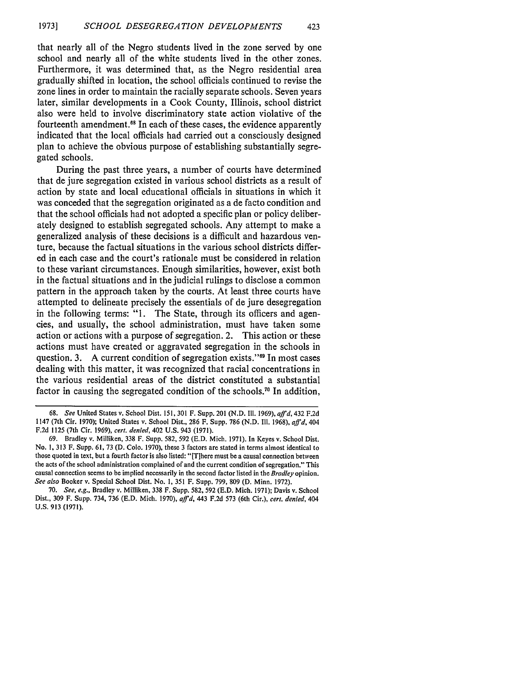that nearly all of the Negro students lived in the zone served by one school and nearly all of the white students lived in the other zones. Furthermore, it was determined that, as the Negro residential area gradually shifted in location, the school officials continued to revise the zone lines in order to maintain the racially separate schools. Seven years later, similar developments in a Cook County, Illinois, school district also were held to involve discriminatory state action violative of the fourteenth amendment.<sup>68</sup> In each of these cases, the evidence apparently indicated that the local officials had carried out a consciously designed plan to achieve the obvious purpose of establishing substantially segregated schools.

During the past three years, a number of courts have determined that de jure segregation existed in various school districts as a result of action by state and local educational officials in situations in which it was conceded that the segregation originated as a de facto condition and that the school officials had not adopted a specific plan or policy deliberately designed to establish segregated schools. Any attempt to make a generalized analysis of these decisions is a difficult and hazardous venture, because the factual situations in the various school districts differed in each case and the court's rationale must be considered in relation to these variant circumstances. Enough similarities, however, exist both in the factual situations and in the judicial rulings to disclose a common pattern in the approach taken by the courts. At least three courts have attempted to delineate precisely the essentials of de jure desegregation in the following terms: "1. The State, through its officers and agencies, and usually, the school administration, must have taken some action or actions with a purpose of segregation. 2. This action or these actions must have created or aggravated segregation in the schools in question. 3. A current condition of segregation exists."69 In most cases dealing with this matter, it was recognized that racial concentrations in the various residential areas of the district constituted a substantial factor in causing the segregated condition of the schools.<sup>70</sup> In addition,

**<sup>68.</sup>** *See* United States v. School Dist. 151, 301 F. Supp. 201 (N.D. Il. 1969), *affd,* 432 F.2d 1147 (7th Cir. 1970); United States v. School Dist., 286 F. Supp. 786 (N.D. Ill. 1968), *affd,* 404 F.2d 1125 (7th Cir. 1969), cert. denied, 402 U.S. 943 (1971).

<sup>69.</sup> Bradley v. Milliken, 338 F. Supp. 582, 592 (E.D. Mich. 1971). In Keyes v. School Dist. No. **1,** 313 F. Supp. 61, 73 (D. Colo. 1970), these 3 factors are stated in terms almost identical to those quoted in text, but a fourth factor is also listed: "IT]here must be a causal connection between the acts of the school administration complained of and the current condition of segregation." This causal connection seems to be implied necessarily in the second factor listed in the *Bradley* opinion. *See also* Booker v. Special School Dist. No. 1, 351 F. Supp. 799, 809 (D. Minn. 1972).

<sup>70.</sup> *See, e.g.,* Bradley v. Milliken, 338 F. Supp. 582, 592 (E.D. Mich. 1971); Davis v. School Dist., 309 F. Supp. 734, 736 (E.D. Mich. 1970), *affd,* 443 F.2d 573 (6th Cir.), *cert. denied,* 404 U.S. 913 (1971).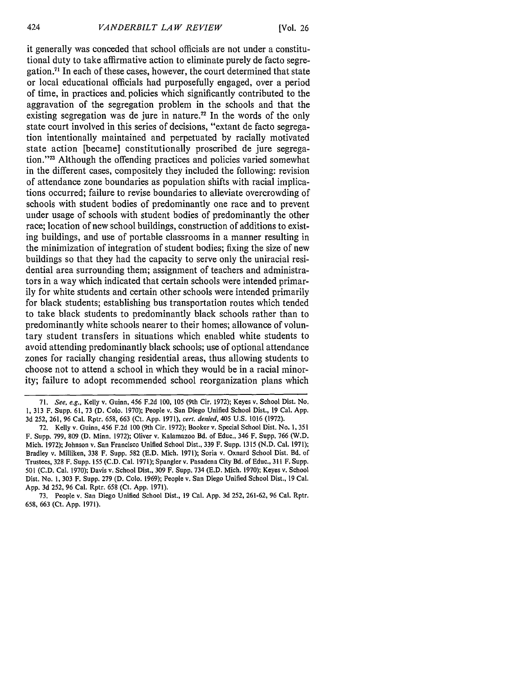it generally was conceded that school officials are not under a constitutional duty to take affirmative action to eliminate purely de facto segregation.<sup>71</sup> In each of these cases, however, the court determined that state or local educational officials had purposefully engaged, over a period of time, in practices and. policies which significantly contributed to the aggravation of the segregation problem in the schools and that the existing segregation was de jure in nature.<sup> $72$ </sup> In the words of the only state court involved in this series of decisions, "extant de facto segregation intentionally maintained and perpetuated by racially motivated state action [became] constitutionally proscribed de jure segregation."<sup>73</sup> Although the offending practices and policies varied somewhat in the different cases, compositely they included the following: revision of attendance zone boundaries as population shifts with racial implications occurred; failure to revise boundaries to alleviate overcrowding of schools with student bodies of predominantly one race and to prevent under usage of schools with student bodies of predominantly the other race; location of new school buildings, construction of additions to existing buildings, and use of portable classrooms in a manner resulting in the minimization of integration of student bodies; fixing the size of new buildings so that they had the capacity to serve only the uniracial residential area surrounding them; assignment of teachers and administrators in a way which indicated that certain schools were intended primarily for white students and certain other schools were intended primarily for black students; establishing bus transportation routes which tended to take black students to predominantly black schools rather than to predominantly white schools nearer to their homes; allowance of voluntary student transfers in situations which enabled white students to avoid attending predominantly black schools; use of optional attendance zones for racially changing residential areas, thus allowing students to choose not to attend a school in which they would be in a racial minority; failure to adopt recommended school reorganization plans which

<sup>71.</sup> *See. e.g.,* Kelly v. Guinn, 456 F.2d 100, 105 (9th Cir. 1972); Keyes v. School Dist. No. 1, 313 F. Supp. 61, 73 (D. Colo. 1970); People v. San Diego Unified School Dist., 19 Cal. App. 3d 252, 261, 96 Cal. Rptr. 658, 663 (Ct. App. 1971), *cert. denied,* 405 U.S. 1016 (1972).

<sup>72.</sup> Kelly v. Guinn, 456 F.2d 100 (9th Cir. 1972); Booker v. Special School Dist. No. 1,351 F. Supp. 799, 809 (D. Minn. 1972); Oliver v. Kalamazoo Bd. of Educ., 346 F. Supp. 766 (W.D. Mich. 1972); Johnson v. San Francisco Unified School Dist., 339 F. Supp. 1315 (N.D. Cal. 1971); Bradley v. Miliken, 338 F. Supp. 582 (E.D. Mich. 1971); Soria v. Oxnard School Dist. Bd. of Trustees, 328 F. Supp. 155 (C.D. Cal. 1971); Spangler v. Pasadena City Bd. of Educ., 311 F. Supp. 501 (C.D. Cal. 1970); Davis v. School Dist., 309 F. Supp. 734 (E.D. Mich. 1970); Keyes v. School Dist. No. 1, 303 F. Supp. 279 (D. Colo. 1969); People v. San Diego Unified School Dist., 19 Cal. App. 3d 252, 96 Cal. Rptr. 658 (Ct. App. 1971).

<sup>73.</sup> People v. San Diego Unified School Dist., 19 Cal. App. 3d 252, 261-62, 96 Cal. Rptr. 658, 663 (Ct. App. 1971).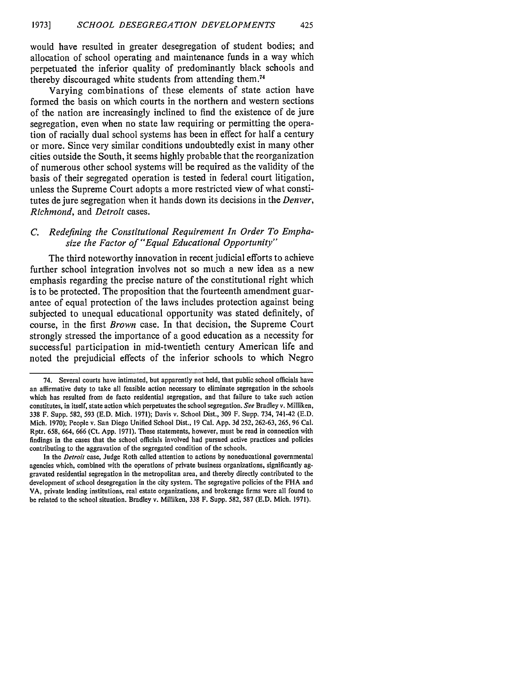would have resulted in greater desegregation of student bodies; and allocation of school operating and maintenance funds in a way which perpetuated the inferior quality of predominantly black schools and thereby discouraged white students from attending **them.7 <sup>4</sup>**

Varying combinations of these elements of state action have formed the basis on which courts in the northern and western sections of the nation are increasingly inclined to find the existence of de jure segregation, even when no state law requiring or permitting the operation of racially dual school systems has been in effect for half a century or more. Since very similar conditions undoubtedly exist in many other cities outside the South, it seems **highly** probable that the reorganization of numerous other school systems will be required as the validity of the basis of their segregated operation is tested in federal court litigation, unless the Supreme Court adopts a more restricted view of what constitutes de jure segregation when it hands down its decisions in the *Denver, Richmond,* and *Detroit* cases.

#### *C. Redefining the Constitutional Requirement In Order To Emphasize the Factor of "Equal Educational Opportunity"*

The third noteworthy innovation in recent judicial efforts to achieve further school integration involves not so much a new idea as a new emphasis regarding the precise nature of the constitutional right which is to be protected. The proposition that the fourteenth amendment guarantee of equal protection of the laws includes protection against being subjected to unequal educational opportunity was stated definitely, of course, in the first *Brown* case. In that decision, the Supreme Court strongly stressed the importance of a good education as a necessity for successful participation in mid-twentieth century American life and noted the prejudicial effects of the inferior schools to which Negro

<sup>74.</sup> Several courts have intimated, but apparently not held, that public school officials have an affirmative duty to take all feasible action necessary to eliminate segregation in the schools which has resulted from de facto residential segregation, and that failure to take such action constitutes, in itself, state action which perpetuates the school segregation. **See** Bradley v. Milliken, **338** F. Supp. **582, 593 (E.D.** Mich. **1971);** Davis v. School Dist., **309** F. Supp. 734, 741-42 **(E.D.** Mich. **1970);** People v. San Diego Unified School Dist., **19** Cal. **App. 3d 252, 262-63, 265, 96** Cal. Rptr. **658,** 664, **666** (Ct. **App. 1971).** These statements, however, must be read in connection with findings in the cases that the school officials involved had pursued active practices and policies contributing to the aggravation of the segregated condition of the schools.

In the **Detroit** case, Judge Roth called attention to actions **by** noneducational governmental agencies which, combined with the operations of private business organizations, significantly aggravated residential segregation in the metropolitan area, and thereby directly contributed to the development of school desegregation in the city system. The segregative policies of the **FHA** and VA, private lending institutions, real estate organizations, and brokerage firms were all found to be related to the school situation. Bradley v. Milliken, **338** F. Supp. **582, 587 (E.D.** Mich. **1971).**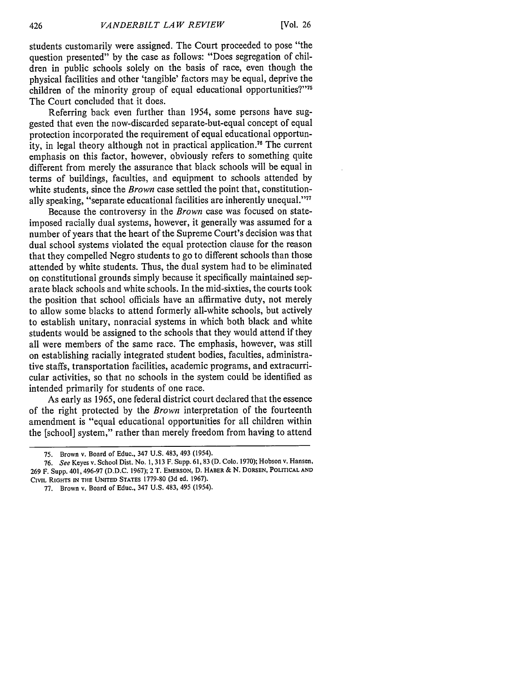students customarily were assigned. The Court proceeded to pose "the question presented" by the case as follows: "Does segregation of children in public schools solely on the basis of race, even though the physical facilities and other 'tangible' factors may be equal, deprive the children of the minority group of equal educational opportunities?"75 The Court concluded that it does.

Referring back even further than 1954, some persons have suggested that even the now-discarded separate-but-equal concept of equal protection incorporated the requirement of equal educational opportunity, in legal theory although not in practical application." The current emphasis on this factor, however, obviously refers to something quite different from merely the assurance that black schools will be equal in terms of buildings, faculties, and equipment to schools attended by white students, since the *Brown* case settled the point that, constitutionally speaking, "separate educational facilities are inherently unequal.""

Because the controversy in the *Brown* case was focused on stateimposed racially dual systems, however, it generally was assumed for a number of years that the heart of the Supreme Court's decision was that dual school systems violated the equal protection clause for the reason that they compelled Negro students to go to different schools than those attended by white students. Thus, the dual system had to be eliminated on constitutional grounds simply because it specifically maintained separate black schools and white schools. In the mid-sixties, the courts took the position that school officials have an affirmative duty, not merely to allow some blacks to attend formerly all-white schools, but actively to establish unitary, nonracial systems in which both black and white students would be assigned to the schools that they would attend if they all were members of the same race. The emphasis, however, was still on establishing racially integrated student bodies, faculties, administrative staffs, transportation facilities, academic programs, and extracurricular activities, so that no schools in the system could be identified as intended primarily for students of one race.

As early as 1965, one federal district court declared that the essence of the right protected by the *Brown* interpretation of the fourteenth amendment is "equal educational opportunities for all children within the [school] system," rather than merely freedom from having to attend

**77.** Brown v. Board of Educ., 347 U.S. 483, 495 (1954).

**<sup>75.</sup>** Brown v. Board of Educ., 347 U.S. 483, 493 (1954).

**<sup>76.</sup>** *See* Keyes v. School Dist. No. 1,313 F. Supp. 61,83 (D. Colo. 1970); Hobson v. Hansen, 269 F. Supp. 401,496-97 (D.D.C. 1967); 2 T. **EMERSON,** D. HABER & N. **DORSEN,** POLITICAL **AND** CIVIL **RIGHTS** IN THE **UNITED STATES** 1779-80 (3d **ed. 1967).**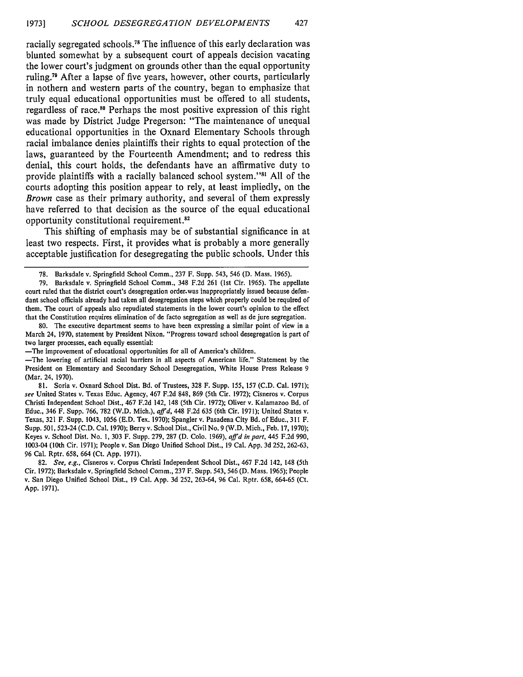racially segregated schools.78 The influence of this early declaration was blunted somewhat **by** a subsequent court of appeals decision vacating the lower court's judgment on grounds other than the equal opportunity ruling.79 After a lapse of five years, however, other courts, particularly in nothern and western parts of the country, began to emphasize that truly equal educational opportunities must be offered to all students, regardless of race." Perhaps the most positive expression of this right was made **by** District Judge Pregerson: "The maintenance of unequal educational opportunities in the Oxnard Elementary Schools through racial imbalance denies plaintiffs their rights to equal protection of the laws, guaranteed **by** the Fourteenth Amendment; and to redress this denial, this court holds, the defendants have an affirmative duty to provide plaintiffs with a racially balanced school system."'" **All** of the courts adopting this position appear to rely, at least impliedly, on the *Brown* case as their primary authority, and several of them expressly have referred to that decision as the source of the equal educational opportunity constitutional requirement.<sup>82</sup>

This shifting of emphasis may be of substantial significance in at least two respects. First, it provides what is probably a more generally acceptable justification for desegregating the public schools. Under this

80. The executive department seems to have been expressing a similar point of view in a March 24, 1970, statement **by** President Nixon. "Progress toward school desegregation is part of two larger processes, each equally essential:

-The improvement of educational opportunities for all of America's children.

-The lowering of artificial racial barriers in all aspects of American life." Statement **by** the President on Elementary and Secondary School Desegregation, White House Press Release 9 (Mar. 24, 1970).

81. Soria v. Oxnard School Dist. Bd. of Trustees, 328 F. Supp. 155, 157 (C.D. Cal. 1971); see United States v. Texas Educ. Agency, 467 F.2d 848, 869 (5th Cir. 1972); Cisneros v. Corpus Christi Independent School Dist., 467 F.2d 142, 148 (5th Cir. 1972); Oliver v. Kalamazoo Bd. of Educ., 346 F. Supp. 766, 782 (W.D. Mich.), *affd,* 448 F.2d 635 (6th Cir. 1971); United States v. Texas, 321 F. Supp. 1043, 1056 (E.D. Tex. 1970); Spangler v. Pasadena City Bd. of Educ., 311 F. Supp. 501, 523-24 (C.D. Cal. 1970); Berry v. School Dist., Civil No. 9 (W.D. Mich., Feb. 17, 1970); Keyes v. School Dist. No. 1, 303 F. Supp. 279, 287 (D. Colo. 1969), *affd in part,* 445 F.2d 990, 1003-04 (10th Cir. 1971); People v. San Diego Unified School Dist., 19 Cal. App. 3d 252, 262-63, 96 Cal. Rptr. 658, 664 (Ct. App. 1971).

82. *See, e.g.,* Cisneros v. Corpus Christi Independent School Dist., 467 F.2d 142, 148 (5th Cir. 1972); Barksdale v. Springfield School Comm., 237 F. Supp. 543, 546 (D. Mass. 1965); People v. San Diego Unified School Dist., 19 Cal. App. 3d 252, 263-64, 96 Cal. Rptr. 658, 664-65 (Ct. App. 1971).

<sup>78.</sup> Barksdale v. Springfield School Comm., 237 F. Supp. 543, 546 (D. Mass. 1965).

<sup>79.</sup> Barksdale v. Springfield School Comm., 348 F.2d 261 (1st Cir. 1965). The appellate court ruled that the district court's desegregation order.was inappropriately issued because defendant school officials already had taken all desegregation steps which properly could be required of them. The court of appeals also repudiated statements in the lower court's opinion to the effect that the Constitution requires elimination of de facto segregation as well as de jure segregation.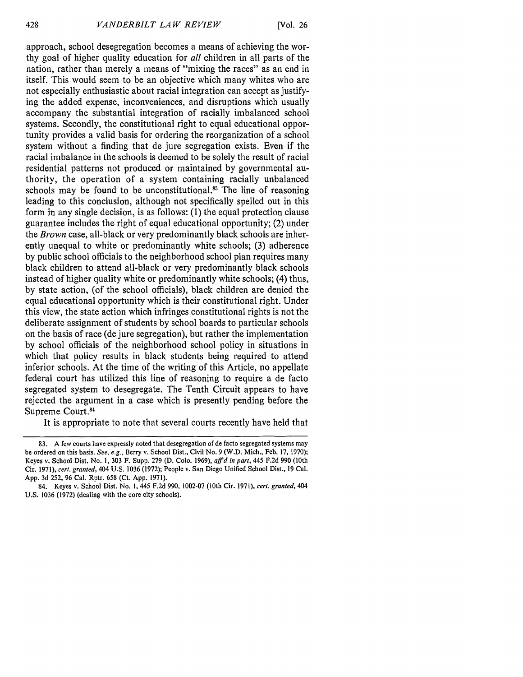approach, school desegregation becomes a means of achieving the worthy goal of higher quality education for *all* children in all parts of the nation, rather than merely a means of "mixing the races" as an end in itself. This would seem to be an objective which many whites who are not especially enthusiastic about racial integration can accept as justifying the added expense, inconveniences, and disruptions which usually accompany the substantial integration of racially imbalanced school systems. Secondly, the constitutional right to equal educational opportunity provides a valid basis for ordering the reorganization of a school system without a finding that de jure segregation exists. Even if the racial imbalance in the schools is deemed to be solely the result of racial residential patterns not produced or maintained by governmental authority, the operation of a system containing racially unbalanced schools may be found to be unconstitutional. $^{83}$  The line of reasoning leading to this conclusion, although not specifically spelled out in this form in any single decision, is as follows: (1) the equal protection clause guarantee includes the right of equal educational opportunity; (2) under the *Brown* case, all-black or very predominantly black schools are inherently unequal to white or predominantly white schools; (3) adherence by public school officials to the neighborhood school plan requires many black children to attend all-black or very predominantly black schools instead of higher quality white or predominantly white schools; (4) thus, by state action, (of the school officials), black children are denied the equal educational opportunity which is their constitutional right. Under this view, the state action which infringes constitutional rights is not the deliberate assignment of students by school boards to particular schools on the basis of race (de jure segregation), but rather the implementation by school officials of the neighborhood school policy in situations in which that policy results in black students being required to attend inferior schools. At the time of the writing of this Article, no appellate federal court has utilized this line of reasoning to require a de facto segregated system to desegregate. The Tenth Circuit appears to have rejected the argument in a case which is presently pending before the Supreme Court.<sup>84</sup>

It is appropriate to note that several courts recently have held that

<sup>83.</sup> A few courts have expressly noted that desegregation of de facto segregated systems may be ordered on this basis. *See, e.g.,* Berry v. School Dist., Civil No. 9 (W.D. Mich., Feb. 17, 1970); Keyes v. School Dist. No. 1, 303 F. Supp. 279 (D. Colo. 1969), *affd in part,* 445 F.2d 990 (10th Cir. 1971), *cert. granted,* 404 **U.S. 1036** (1972); People v. San Diego Unified School Dist., 19 Cal. App. 3d 252, 96 Cal. Rptr. **658** (Ct. **App. 1971).**

<sup>84.</sup> Keyes v. School Dist. No. 1, 445 F.2d 990, 1002-07 (10th Cir. 1971), *cert. granted,* 404 U.S. 1036 (1972) (dealing with the core city schools).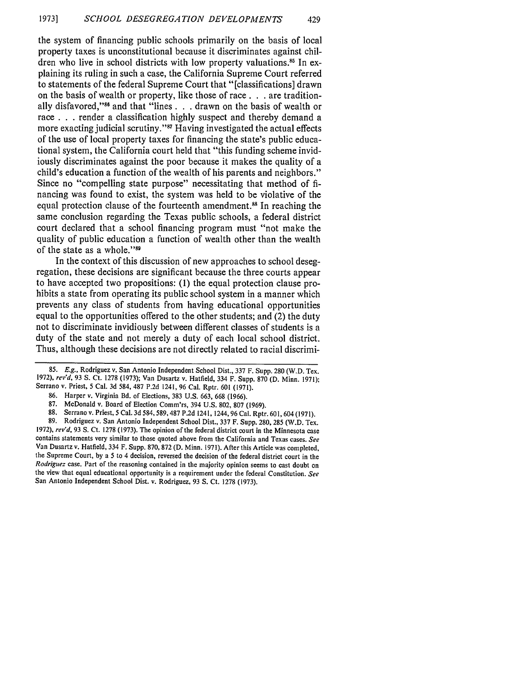the system of financing public schools primarily on the basis of local property taxes is unconstitutional because it discriminates against children who live in school districts with low property valuations.<sup>85</sup> In explaining its ruling in such a case, the California Supreme Court referred to statements of the federal Supreme Court that "[classifications] drawn on the basis of wealth or property, like those of race. **. .** are traditionally disfavored," 6 and that "lines **. .** . drawn on the basis of wealth or race **. . .** render a classification highly suspect and thereby demand a more exacting judicial scrutiny."<sup>87</sup> Having investigated the actual effects of the use of local property taxes for financing the state's public educational system, the California court held that "this funding scheme invidiously discriminates against the poor because it makes the quality of a child's education a function of the wealth of his parents and neighbors." Since no "compelling state purpose" necessitating that method of financing was found to exist, the system was held to be violative of the equal protection clause of the fourteenth amendment.<sup>88</sup> In reaching the same conclusion regarding the Texas public schools, a federal district court declared that a school financing program must "not make the quality of public education a function of wealth other than the wealth of the state as a whole."<sup>89</sup>

In the context of this discussion of new approaches to school desegregation, these decisions are significant because the three courts appear to have accepted two propositions: (1) the equal protection clause prohibits a state from operating its public school system in a manner which prevents any class of students from having educational opportunities equal to the opportunities offered to the other students; and (2) the duty not to discriminate invidiously between different classes of students is a duty of the state and not merely a duty of each local school district. Thus, although these decisions are not directly related to racial discrimi-

<sup>85.</sup> **E.g.,** Rodriguez v. San Antonio Independent School Dist., 337 F. Supp. 280 (W.D. Tex. 1972), rev'd, 93 **S.** Ct. 1278 (1973); Van Dusartz v. Hatfield, 334 F. Supp. 870 (D. Minn. 1971); Serrano v. Priest, 5 Cal. 3d 584, 487 P.2d 1241, 96 Cal. Rptr. 601 (1971).

<sup>86.</sup> Harper v. Virginia Bd. of Elections, 383 U.S. 663, 668 (1966).

<sup>87.</sup> McDonald v. Board of Election Comm'rs, 394 U.S. 802, 807 (1969).

<sup>88.</sup> Serrano v. Priest, **5** Cal. 3d 584, 589,487 P.2d 1241, 1244,96 Cal. Rptr. 601, 604 (1971).

<sup>89.</sup> Rodriguez v. San Antonio Independent School Dist., 337 F. Supp. 280, 285 (W.D. Tex. 1972), rev'd, 93 **S.** Ct. 1278 (1973). The opinion of the federal district court in the Minnesota case contains statements very similar to those quoted above from the California and Texas cases. *See* Van Dusartz v. Hatfield, 334 F. Supp. 870, 872 (D. Minn. 1971). After this Article was completed, the Supreme Court, by a **5** to 4 decision, reversed the decision of the federal district court in the *Rodriguez* case. Part of the reasoning contained in the majority opinion seems to cast doubt on the view that equal educational opportunity is a requirement under the federal Constitution. *See* San Antonio Independent School Dist. v. Rodriguez, 93 **S.** Ct. 1278 (1973).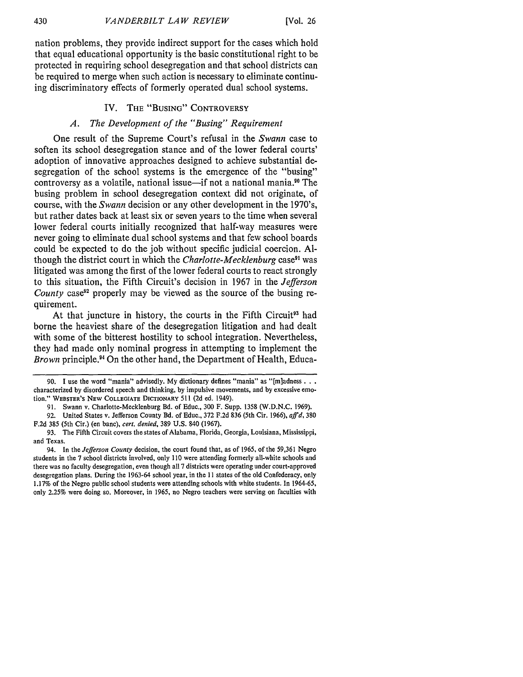nation problems, they provide indirect support for the cases which hold that equal educational opportunity is the basic constitutional right to be protected in requiring school desegregation and that school districts can be required to merge when such action is necessary to eliminate continuing discriminatory effects of formerly operated dual school systems.

#### IV. **THE** "BUSING" CONTROVERSY

#### *A. The Development of the "Busing" Requirement*

One result of the Supreme Court's refusal in the *Swann* case to soften its school desegregation stance and of the lower federal courts' adoption of innovative approaches designed to achieve substantial desegregation of the school systems is the emergence of the "busing" controversy as a volatile, national issue—if not a national mania.<sup>90</sup> The busing problem in school desegregation context did not originate, of course, with the *Swann* decision or any other development in the 1970's, but rather dates back at least six or seven years to the time when several lower federal courts initially recognized that half-way measures were never going to eliminate dual school systems and that few school boards could be expected to do the job without specific judicial coercion. Although the district court in which the *Charlotte-Mecklenburg* case<sup>91</sup> was litigated was among the first of the lower federal courts to react strongly to this situation, the Fifth Circuit's decision in 1967 in the *Jefferson County* case<sup>92</sup> properly may be viewed as the source of the busing requirement.

At that juncture in history, the courts in the Fifth Circuit<sup>93</sup> had borne the heaviest share of the desegregation litigation and had dealt with some of the bitterest hostility to school integration. Nevertheless, they had made only nominal progress in attempting to implement the *Brown* principle.<sup>94</sup> On the other hand, the Department of Health, Educa-

**<sup>90.</sup> I** use the word "mania" advisedly. **My** dictionary defines "mania" as "[m]adness... characterized **by** disordered speech and thinking, **by** impulsive movements, and **by** excessive emotion." WEBSTER'S NEW COLLEGIATE DICTIONARY **511 (2d** ed. 1949).

**<sup>91.</sup>** Swann v. Charlotte-Mecklenburg Bd. of Educ., 300 F. Supp. 1358 **(W.D.N.C.** 1969).

<sup>92.</sup> United States v. Jefferson County **Bd.** of Educ., **372** F.2d 836 (5th Cir. 1966), *affd,* 380 F.2d 385 (5th Cir.) (en banc), *cert. denied,* 389 **U.S.** 840 (1967).

**<sup>93.</sup>** The Fifth Circuit covers the states of Alabama, Florida, Georgia, Louisiana, Mississippi, and Texas.

<sup>94.</sup> In the *Jefferson County* decision, the court found that, as of 1965, of the 59,361 Negro students in the **7** school districts involved, only **110** were attending formerly all-white schools and there was no faculty desegregation, even though all **7** districts were operating under court-approved desegregation plans. During the 1963-64 school year, in the **11** states of the old Confederacy, only 1.17% of the Negro public school students were attending schools with white students. In 1964-65, only 2.25% were doing so. Moreover, in 1965, no Negro teachers were serving on faculties with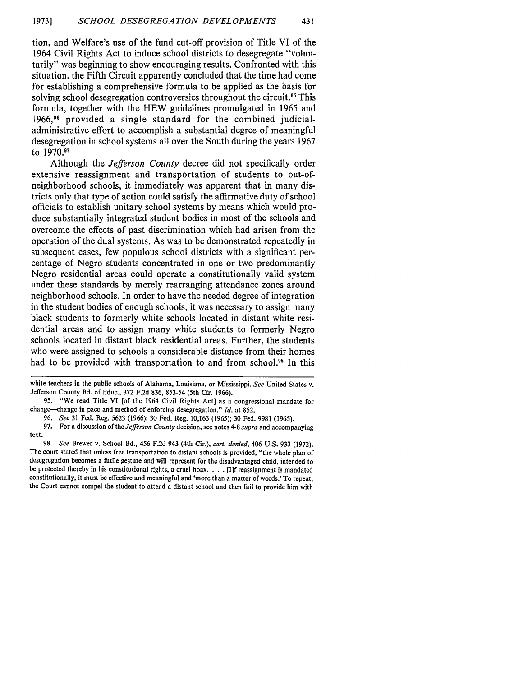tion, and Welfare's use of the fund cut-off provision of Title VI of the 1964 Civil Rights Act to induce school districts to desegregate "voluntarily" was beginning to show encouraging results. Confronted with this situation, the Fifth Circuit apparently concluded that the time had come for establishing a comprehensive formula to be applied as the basis for solving school desegregation controversies throughout the circuit.<sup>95</sup> This formula, together with the HEW guidelines promulgated in 1965 and **1966,96** provided a single standard for the combined judicialadministrative effort to accomplish a substantial degree of meaningful desegregation in school systems all over the South during the years 1967 to 1970.97

Although the *Jefferson County* decree did not specifically order extensive reassignment and transportation of students to out-ofneighborhood schools, it immediately was apparent that in many districts only that type of action could satisfy the affirmative duty of school officials to establish unitary school systems by means which would produce substantially integrated student bodies in most of the schools and overcome the effects of past discrimination which had arisen from the operation of the dual systems. As was to be demonstrated repeatedly in subsequent cases, few populous school districts with a significant percentage of Negro students concentrated in one or two predominantly Negro residential areas could operate a constitutionally valid system under these standards by merely rearranging attendance zones around neighborhood schools. In order to have the needed degree of integration in the student bodies of enough schools, it was necessary to assign many black students to formerly white schools located in distant white residential areas and to assign many white students to formerly Negro schools located in distant black residential areas. Further, the students who were assigned to schools a considerable distance from their homes had to be provided with transportation to and from school.<sup>98</sup> In this

white teachers in the public schools of Alabama, Louisiana, or Mississippi. *See* United States v. Jefferson County Bd. of Educ., 372 F.2d 836, 853-54 (5th Cir. 1966).

<sup>95. &</sup>quot;We read Title VI [of the 1964 Civil Rights Act] as a congressional mandate for change-change in pace and method of enforcing desegregation." *Id.* at 852.

<sup>96.</sup> *See* 31 Fed. Reg. 5623 (1966); 30 Fed. Reg. 10,163 (1965); 30 Fed. 9981 (1965).

<sup>97.</sup> For a discussion of the *Jefferson County* decision, see notes 4-8 *supra* and accompanying text.

<sup>98.</sup> *See* Brewer v. School Bd., 456 F.2d 943 (4th Cir.), *cert. denied,* 406 U.S. 933 (1972). The court stated that unless free transportation to distant schools is provided, "the whole plan of descgregation becomes a futile gesture and will represent for the disadvantaged child, intended to be protected thereby in his constitutional rights, a cruel hoax. . **.** .[I]f reassignment is mandated constitutionally, it must be effective and meaningful and 'more than a matter of words.' To repeat, the Court cannot compel the student to attend a distant school and then fail to provide him with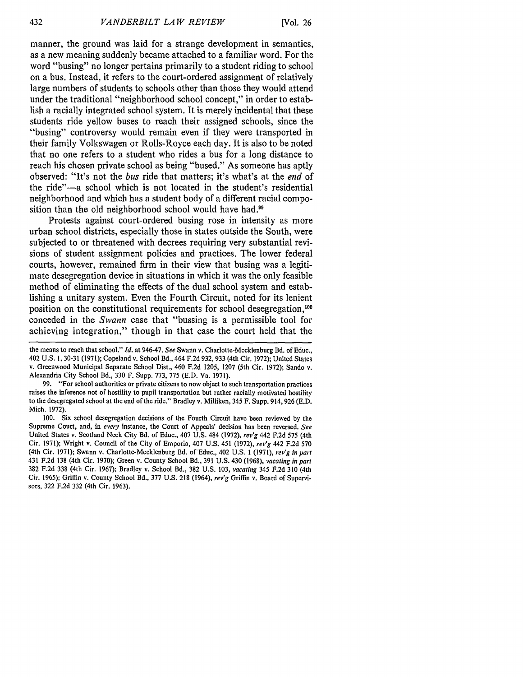manner, the ground was laid for a strange development in semantics, as a new meaning suddenly became attached to a familiar word. For the word "busing" no longer pertains primarily to a student riding to school on a bus. Instead, it refers to the court-ordered assignment of relatively large numbers of students to schools other than those they would attend under the traditional "neighborhood school concept," in order to establish a racially integrated school system. It is merely incidental that these students ride yellow buses to reach their assigned schools, since the "busing" controversy would remain even if they were transported in their family Volkswagen or Rolls-Royce each day. It is also to be noted that no one refers to a student who rides a bus for a long distance to reach his chosen private school as being "bused." As someone has aptly observed: "It's not the *bus* ride that matters; it's what's at the *end* of the ride"-a school which is not located in the student's residential neighborhood and which has a student body of a different racial composition than the old neighborhood school would have had.<sup>99</sup>

Protests against court-ordered busing rose in intensity as more urban school districts, especially those in states outside the South, were subjected to or threatened with decrees requiring very substantial revisions of student assignment policies and practices. The lower federal courts, however, remained firm in their view that busing was a legitimate desegregation device in situations in which it was the only feasible method of eliminating the effects of the dual school system and establishing a unitary system. Even the Fourth Circuit, noted for its lenient position on the constitutional requirements for school desegregation,<sup>100</sup> conceded in the *Swann* case that "bussing is a permissible tool for achieving integration," though in that case the court held that the

the means to reach that school." *Id.* at 946-47. *See* Swann v. Charlotte-Mecklenburg Bd. of Educ., 402 U.S. 1, 30-31 (1971); Copeland v. School Bd., 464 F.2d 932, 933 (4th Cir. 1972); United States v. Greenwood Municipal Separate School Dist., 460 F.2d 1205, 1207 (5th Cir. 1972); Sando v. Alexandria City School Bd., 330 F. Supp. 773, 775 (E.D. Va. 1971).

<sup>99. &</sup>quot;For school authorities or private citizens to now object to such transportation practices raises the inference not of hostility to pupil transportation but rather racially motivated hostility to the desegregated school at the end of the ride." Bradley v. Milliken, 345 F. Supp. 914, 926 (E.D. Mich. 1972).

<sup>100.</sup> Six school desegregation decisions of the Fourth Circuit have been reviewed by the Supreme Court, and, in *every* instance, the Court of Appeals' decision has been reversed. *See* United States v. Scotland Neck City Bd. of Educ., 407 U.S. 484 (1972), *rev'g* 442 F.2d 575 (4th Cir. 1971); Wright v. Council of the City of Emporia, 407 U.S. 451 (1972), *rev'g* 442 F.2d 570 (4th Cir. 1971); Swann v. Charlotte-Mecklenburg Bd. of Educ., 402 U.S. 1 (1971), *rev'g in part* 431 F.2d 138 (4th Cir. 1970); Green v. County School Bd., 391 U.S. 430 (1968), *vacating in part* 382 F.2d 338 (4th Cir. 1967); Bradley v. School Bd., 382 U.S. 103, *vacating* 345 F.2d 310 (4th Cir. 1965); Griffin v. County School Bd., 377 U.S. 218 (1964), *rev'g* Griffin v. Board of Supervisors, 322 F.2d 332 (4th Cir. 1963).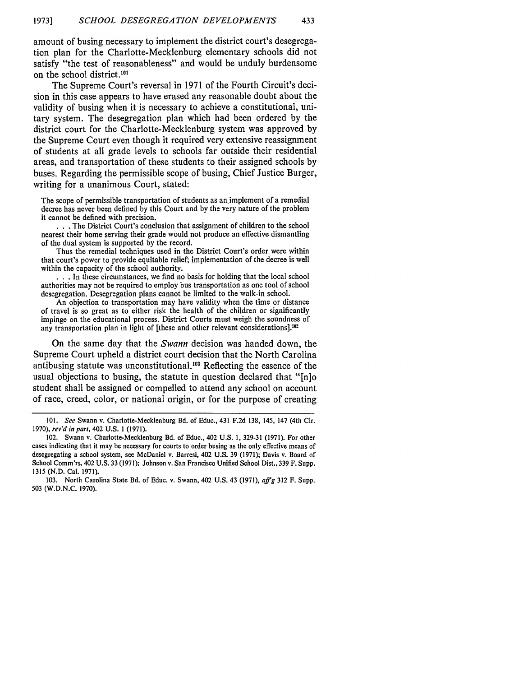amount of busing necessary to implement the district court's desegregation plan for the Charlotte-Mecklenburg elementary schools did not satisfy "the test of reasonableness" and would be unduly burdensome on the school district. 10'

The Supreme Court's reversal in **1971** of the Fourth Circuit's decision in this case appears to have erased any reasonable doubt about the validity of busing when it is necessary to achieve a constitutional, unitary system. The desegregation plan which had been ordered **by** the district court for the Charlotte-Mecklenburg system was approved **by** the Supreme Court even though it required very extensive reassignment of students at all grade levels to schools far outside their residential areas, and transportation of these students to their assigned schools **by** buses. Regarding the permissible scope of busing, Chief Justice Burger, writing for a unanimous Court, stated:

The scope of permissible transportation of students as an implement of a remedial decree has never been defined by this Court and by the very nature of the problem it cannot be defined with precision.

• **. .**The District Court's conclusion that assignment of children to the school nearest their home serving their grade would not produce an effective dismantling of the dual system is supported by the record.

Thus the remedial techniques used in the District Court's order were within that court's power to provide equitable relief; implementation of the decree is well within the capacity of the school authority.

• **. .**In these circumstances, we find no basis for holding that the local school authorities may not be required to employ bus transportation as one tool of school desegregation. Desegregation plans cannot be limited to the walk-in school.

An objection to transportation may have validity when the time or distance of travel is so great as to either risk the health of the children or significantly impinge on the educational process. District Courts must weigh the soundness of any transportation plan in light of [these and other relevant considerations].<sup>102</sup>

On the same day that the *Swann* decision was handed down, the Supreme Court upheld a district court decision that the North Carolina antibusing statute was unconstitutional.<sup>103</sup> Reflecting the essence of the usual objections to busing, the statute in question declared that "[n]o student shall be assigned or compelled to attend any school on account of race, creed, color, or national origin, or for the purpose of creating

<sup>101.</sup> See Swann v. Charlotte-Mecklenburg Bd. of Educ., 431 F.2d 138, 145, 147 (4th Cir. 1970), rev'd in part, 402 U.S. **1** (1971).

<sup>102.</sup> Swann v. Charlotte-Mecklenburg Bd. of Educ., 402 U.S. **1,** 329-31 (1971). For other cases indicating that it may be necessary for courts to order busing as the only effective means of desegregating a school system, see McDaniel v. Barresi, 402 U.S. 39 (1971); Davis v. Board of School Comm'rs, 402 U.S. 33 (1971); Johnson v. San Francisco Unified School Dist., 339 F. Supp. 1315 (N.D. Cal. 1971).

<sup>103.</sup> North Carolina State Bd. of Educ. v. Swann, 402 U.S. 43 (1971),  $affg$  312 F. Supp. 503 (W.D.N.C. 1970).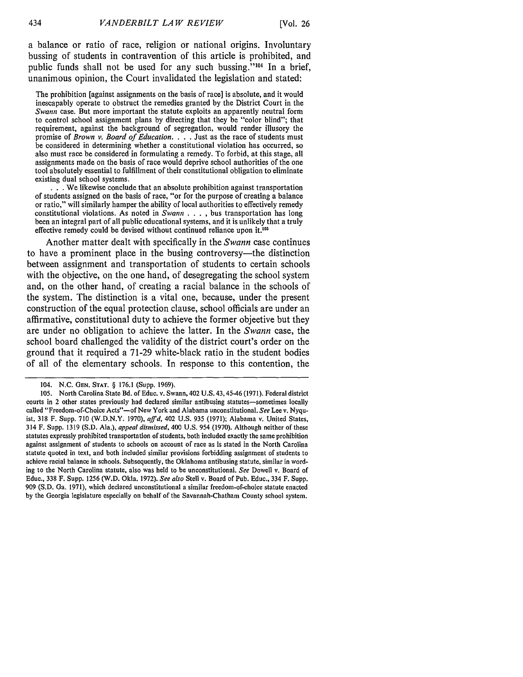a balance or ratio of race, religion or national origins. Involuntary bussing of students in contravention of this article is prohibited, and public funds shall not be used for any such bussing."<sup>104</sup> In a brief, unanimous opinion, the Court invalidated the legislation and stated:

The prohibition [against assignments on the basis of race] is absolute, and it would inescapably operate to obstruct the remedies granted **by** the District Court in the *Swann* case. But more important the statute exploits an apparently neutral form to control school assignment plans by directing that they be "color blind"; that requirement, against the background of segregation, would render illusory the promise of *Brown v. Board of Education.* . **.** . Just as the race of students must be considered in determining whether a constitutional violation has occurred, so also must race be considered in formulating a remedy. To forbid, at this stage, all assignments made on the basis of race would deprive school authorities of the one tool absolutely essential to fulfillment of their constitutional obligation to eliminate existing dual school systems.

 $\cdot$  **We likewise conclude that an absolute prohibition against transportation** of students assigned on the basis of race, "or for the purpose of creating a balance or ratio," will similarly hamper the ability of local authorities to effectively remedy constitutional violations. As noted in *Swann* . **. . ,** bus transportation has long been an integral part of all public educational systems, and it is unlikely that a truly effective remedy could be devised without continued reliance upon it.<sup>105</sup>

Another matter dealt with specifically in the *Swann* case continues to have a prominent place in the busing controversy-the distinction between assignment and transportation of students to certain schools with the objective, on the one hand, of desegregating the school system and, on the other hand, of creating a racial balance in the schools of the system. The distinction is a vital one, because, under the present construction of the equal protection clause, school officials are under an affirmative, constitutional duty to achieve the former objective but they are under no obligation to achieve the latter. In the *Swann* case, the school board challenged the validity of the district court's order on the ground that it required a 71-29 white-black ratio in the student bodies of all of the elementary schools. In response to this contention, the

<sup>104.</sup> N.C. **GEN. STAT.** § 176.1 (Supp. 1969).

<sup>105.</sup> North Carolina State Bd. of Educ. v. Swann, 402 U.S. 43,45-46 (1971). Federal district courts in 2 other states previously had declared similar antibusing statutes—sometimes locally called "Freedom-of-Choice Acts"-of New York and Alabama unconstitutional. *See* Lee v. Nyquist, 318 F. Supp. 710 (W.D.N.Y. 1970), *affd,* 402 U.S. 935 (1971); Alabama v. United States, 314 F. Supp. 1319 (S.D. Ala.), *appeal dismissed,* 400 U.S. 954 (1970). Although neither of these statutes expressly prohibited transportation of students, both included exactly the same prohibition against assignment of students to schools on account of race as is stated in the North Carolina statute quoted in text, and both included similar provisions forbidding assignment of students to achieve racial balance in schools. Subsequently, the Oklahoma antibusing statute, similar in wording to the North Carolina statute, also was held to be unconstitutional. *See* Dowell v. Board of Educ., 338 F. Supp. 1256 (W.D. Okla. 1972). *See also* Stell v. Board of Pub. Educ., 334 F. Supp. 909 (S.D. Ga. 1971), which declared unconstitutional a similar freedom-of-choice statute enacted by the Georgia legislature especially on behalf of the Savannah-Chatham County school system.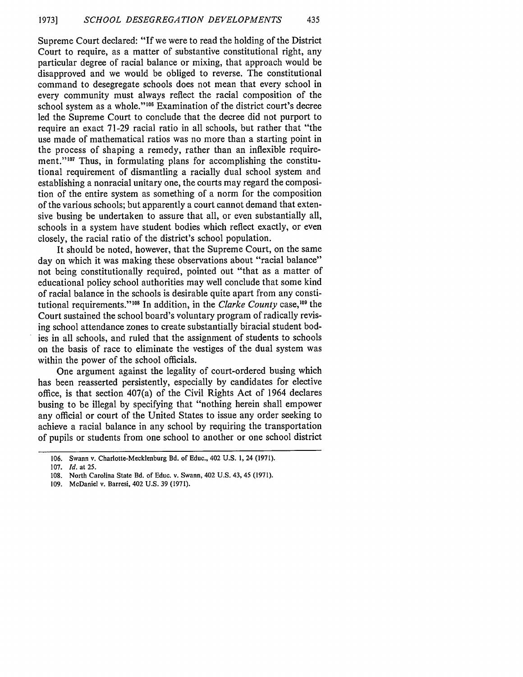Supreme Court declared: "If we were to read the holding of the District Court to require, as a matter of substantive constitutional right, any particular degree of racial balance or mixing, that approach would be disapproved and we would be obliged to reverse. The constitutional command to desegregate schools does not mean that every school in every community must always reflect the racial composition of the school system as a whole."<sup>106</sup> Examination of the district court's decree led the Supreme Court to conclude that the decree did not purport to require an exact 71-29 racial ratio in all schools, but rather that "the use made of mathematical ratios was no more than a starting point in the process of shaping a remedy, rather than an inflexible requirement."<sup>107</sup> Thus, in formulating plans for accomplishing the constitutional requirement of dismantling a racially dual school system and establishing a nonracial unitary one, the courts may regard the composition of the entire system as something of a norm for the composition of the various schools; but apparently a court cannot demand that extensive busing be undertaken to assure that all, or even substantially all, schools in a system have student bodies which reflect exactly, or even closely, the racial ratio of the district's school population.

It should be noted, however, that the Supreme Court, on the same day on which it was making these observations about "racial balance" not being constitutionally required, pointed out "that as a matter of educational policy school authorities may well conclude that some kind of racial balance in the schools is desirable quite apart from any constitutional requirements."<sup>108</sup> In addition, in the *Clarke County* case,<sup>109</sup> the Court sustained the school board's voluntary program of radically revising school attendance zones to create substantially biracial student bodies in all schools, and ruled that the assignment of students to schools on the basis of race to eliminate the vestiges of the dual system was within the power of the school officials.

One argument against the legality of court-ordered busing which has been reasserted persistently, especially by candidates for elective office, is that section 407(a) of the Civil Rights Act of 1964 declares busing to be illegal by specifying that "nothing herein shall empower any official or court of the United States to issue any order seeking to achieve a racial balance in any school by requiring the transportation of pupils or students from one school to another or one school district

<sup>106.</sup> Swann v. Charlotte-Mecklenburg Bd. of Educ., 402 U.S. 1, 24 (1971).

<sup>107.</sup> *Id.* at 25.

<sup>108.</sup> North Carolina State Bd. of Educ. v. Swann, 402 U.S. 43, 45 (1971).

<sup>109.</sup> McDaniel v. Barresi, 402 U.S. 39 (1971).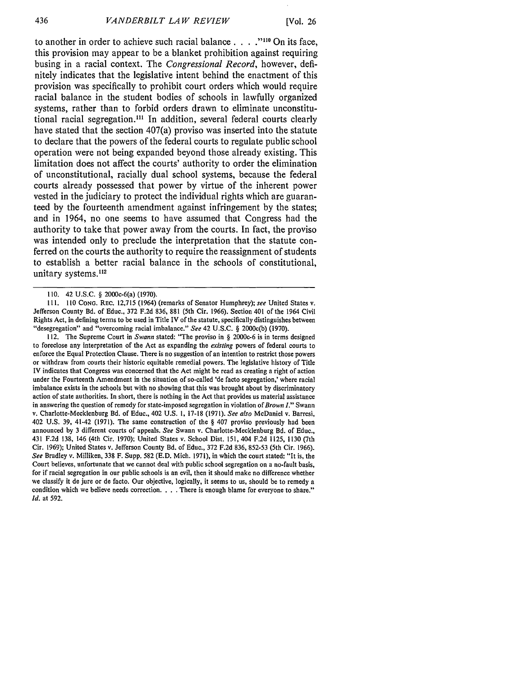to another in order to achieve such racial balance. **. . ."I"** On its face, this provision may appear to be a blanket prohibition against requiring busing in a racial context. The *Congressional Record,* however, definitely indicates that the legislative intent behind the enactment of this provision was specifically to prohibit court orders which would require racial balance in the student bodies of schools in lawfully organized systems, rather than to forbid orders drawn to eliminate unconstitutional racial segregation.<sup>111</sup> In addition, several federal courts clearly have stated that the section 407(a) proviso was inserted into the statute to declare that the powers of the federal courts to regulate public school operation were not being expanded beyond those already existing. This limitation does not affect the courts' authority to order the elimination of unconstitutional, racially dual school systems, because the federal courts already possessed that power **by** virtue of the inherent power vested in the judiciary to protect the individual rights which are guaranteed **by** the fourteenth amendment against infringement **by** the states; and in 1964, no one seems to have assumed that Congress had the authority to take that power away from the courts. In fact, the proviso was intended only to preclude the interpretation that the statute conferred on the courts the authority to require the reassignment of students to establish a better racial balance in the schools of constitutional, unitary systems.<sup>112</sup>

111. **110** CoNG. REC. 12,715 (1964) (remarks of Senator Humphrey); *see* United States v. Jefferson County Bd. of Educ., 372 F.2d 836, 881 (5th Cir. 1966). Section 401 of the 1964 Civil Rights Act, in defining terms to be used in Title IV of the statute, specifically distinguishes between "desegregation" and "overcoming racial imbalance." *See* 42 U.S.C. § 2000c(b) (1970).

112. The Supreme Court in *Swann* stated: "The proviso in § 2000c-6 is in terms designed to foreclose any interpretation of the Act as expanding the existing powers of federal courts to enforce the Equal Protection Clause. There is no suggestion of an intention to restrict those powers or withdraw from courts their historic equitable remedial powers. The legislative history of Title IV indicates that Congress was concerned that the Act might be read as creating a right of action under the Fourteenth Amendment in the situation of so-called 'de facto segregation,' where racial imbalance exists in the schools but with no showing that this was brought about by discriminatory action of state authorities. In short, there is nothing in the Act that provides us material assistance in answering the question of remedy for state-imposed segregation in violation of Brown *."* Swann v. Charlotte-Mecklenburg Bd. of Educ., 402 U.S. 1, 17-18 (1971). *See also* McDaniel v. Barresi, 402 U.S. 39, 41-42 (1971). The same construction of the § 407 proviso previously had been announced by 3 different courts of appeals. See Swann v. Charlotte-Mecklenburg Bd. of Educ., 431 F.2d 138, 146 (4th Cir. 1970); United States v. School Dist. 151, 404 F.2d 1125, 1130 (7th Cir. 1969); United States v. Jefferson County Bd. of Educ., 372 F.2d 836, 852-53 (5th Cir. 1966). *See* Bradley v. Milliken, 338 F. Supp. 582 (E.D. Mich. 1971), in which the court stated: "It is, the Court believes, unfortunate that we cannot deal with public school segregation on a no-fault basis, for if racial segregation in our public schools is an evil, then it should make no difference whether we classify it de jure or de facto. Our objective, logically, it seems to us, should be to remedy a condition which we believe needs correction. . **.** . There is enough blame for everyone to share." *Id.* at 592.

<sup>110. 42</sup> U.S.C. § 2000c-6(a) (1970).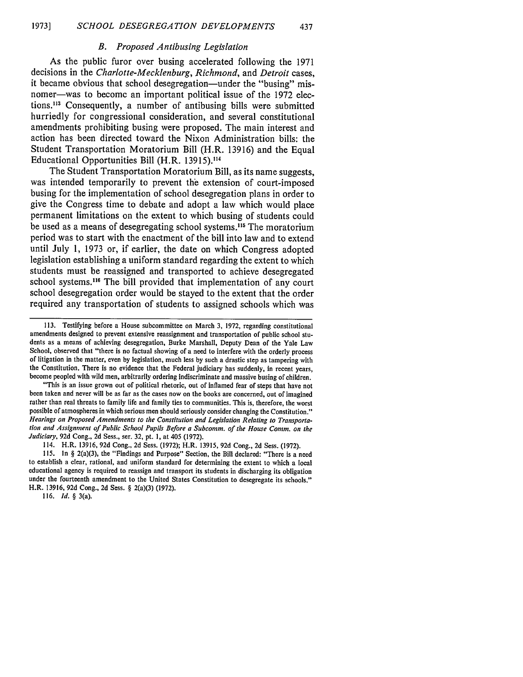#### *B. Proposed Antibusing Legislation*

As the public furor over busing accelerated following the 1971 decisions in the *Charlotte-Mecklenburg, Richmond,* and *Detroit* cases, it became obvious that school desegregation—under the "busing" misnomer—was to become an important political issue of the 1972 elections."' Consequently, a number of antibusing bills were submitted hurriedly for congressional consideration, and several constitutional amendments prohibiting busing were proposed. The main interest and action has been directed toward the Nixon Administration bills: the Student Transportation Moratorium Bill (H.R. 13916) and the Equal Educational Opportunities Bill (H.R. **13915).114**

The Student Transportation Moratorium Bill, as its name suggests, was intended temporarily to prevent the extension of court-imposed busing for the implementation of school desegregation plans in order to give the Congress time to debate and adopt a law which would place permanent limitations on the extent to which busing of students could be used as a means of desegregating school systems.15 The moratorium period was to start with the enactment of the bill into law and to extend until July 1, 1973 or, if earlier, the date on which Congress adopted legislation establishing a uniform standard regarding the extent to which students must be reassigned and transported to achieve desegregated school systems.<sup>116</sup> The bill provided that implementation of any court school desegregation order would be stayed to the extent that the order required any transportation of students to assigned schools which was

"This is an issue grown out of political rhetoric, out of inflamed fear of steps that have not been taken and never will be as far as the cases now on the books are concerned, out of imagined rather than real threats to family life and family ties to communities. This is, therefore, the worst possible of atmospheres in which serious men should seriously consider changing the Constitution." *Hearings on Proposed Amendments to the Constitution and Legislation Relating to Transportation and Assignment of Public School Pupils Before a Subcomm. of the House Comm. on the Judiciary,* 92d Cong., 2d Sess., ser. 32, pt. 1, at 405 (1972).

114. H.R. 13916, 92d Cong., 2d Sess. (1972); H.R. 13915, 92d Cong., 2d Sess. (1972).

115. In § 2(a)(3), the "Findings and Purpose" Section, the Bill declared: "There is a need to establish a clear, rational, and uniform standard for determining the extent to which a local educational agency is required to reassign and transport its students in discharging its obligation under the fourteenth amendment to the United States Constitution to desegregate its schools." H.R. 13916, **92d** Cong., 2d Sess. § 2(a)(3) (1972).

116. *Id. §* 3(a).

<sup>113.</sup> Testifying before a House subcommittee on March 3, 1972, regarding constitutional amendments designed to prevent extensive reassignment and transportation of public school students as a means of achieving desegregation, Burke Marshall, Deputy Dean of the Yale Law School, observed that "there is no factual showing of a need to interfere with the orderly process of litigation in the matter, even by legislation, much less by such a drastic step as tampering with the Constitution. There is no evidence that the Federal judiciary has suddenly, in recent years, become peopled with wild men, arbitrarily ordering indiscriminate and massive busing of children.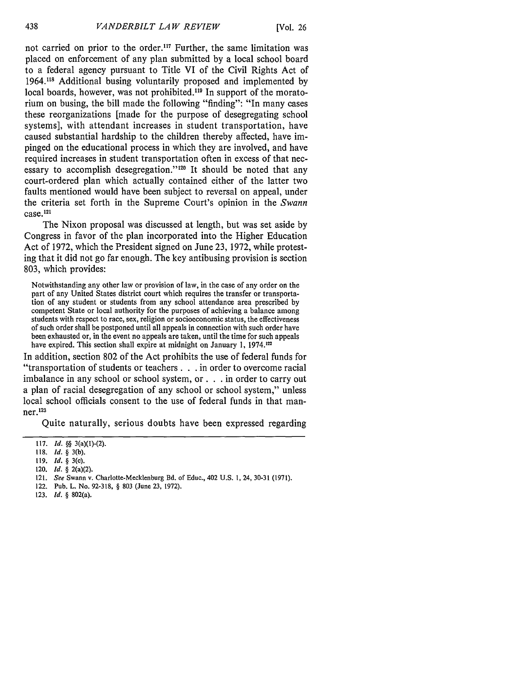not carried on prior to the order.<sup>117</sup> Further, the same limitation was placed on enforcement of any plan submitted by a local school board to a federal agency pursuant to Title VI of the Civil Rights Act of 1964.<sup>118</sup> Additional busing voluntarily proposed and implemented by local boards, however, was not prohibited.<sup>119</sup> In support of the moratorium on busing, the bill made the following "finding": "In many cases these reorganizations [made for the purpose of desegregating school systems], with attendant increases in student transportation, have caused substantial hardship to the children thereby affected, have impinged on the educational process in which they are involved, and have required increases in student transportation often in excess of that necessary to accomplish desegregation."<sup>120</sup> It should be noted that any court-ordered plan which actually contained either of the latter two faults mentioned would have been subject to reversal on appeal, under the criteria set forth in the Supreme Court's opinion in the *Swann* case.<sup>121</sup>

The Nixon proposal was discussed at length, but was set aside by Congress in favor of the plan incorporated into the Higher Education Act of 1972, which the President signed on June 23, 1972, while protesting that it did not go far enough. The key antibusing provision is section 803, which provides:

Notwithstanding any other law or provision of law, in the case of any order on the part of any United States district court which requires the transfer or transportation of any student or students from any school attendance area prescribed by competent State or local authority for the purposes of achieving a balance among students with respect to race, sex, religion or socioeconomic status, the effectiveness of such order shall be postponed until all appeals in connection with such order have been exhausted or, in the event no appeals are taken, until the time for such appeals have expired. This section shall expire at midnight on January 1, 1974.<sup>122</sup>

In addition, section 802 of the Act prohibits the use of federal funds for "transportation of students or teachers **. . .** in order to overcome racial imbalance in any school or school system, **or. .** .in order to carry out a plan of racial desegregation of any school or school system," unless local school officials consent to the use of federal funds in that man**ner.123**

Quite naturally, serious doubts have been expressed regarding

- 122. Pub. L. No. **92-318,** § **803** (June **23, 1972).**
- **123. Id.** § 802(a).

**<sup>117.</sup> Id. §§** 3(a)(I)-(2).

**<sup>118.</sup> Id.** § **3(b).**

<sup>119.</sup> **Id.** *§* 3(c).

**<sup>120.</sup>** Id. § **2(a)(2).**

**<sup>121.</sup> See** Swann v. Charlotte-Mecklenburg **Bd.** of Educ., 402 **U.S. 1,** 24, **30-31 (1971).**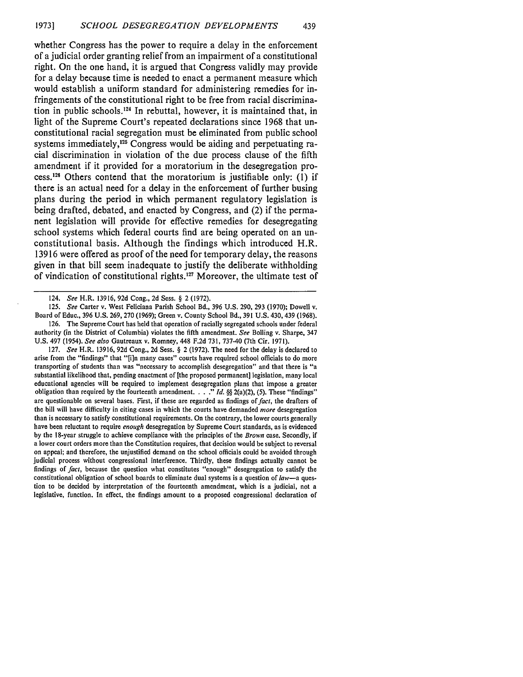whether Congress has the power to require a delay in the enforcement of a judicial order granting relief from an impairment of a constitutional right. On the one hand, it is argued that Congress validly may provide for a delay because time is needed to enact a permanent measure which would establish a uniform standard for administering remedies for infringements of the constitutional right to be free from racial discrimination in public schools.<sup>124</sup> In rebuttal, however, it is maintained that, in light of the Supreme Court's repeated declarations since **1968** that unconstitutional racial segregation must be eliminated from public school systems immediately, $125$  Congress would be aiding and perpetuating racial discrimination in violation of the due process clause of the fifth amendment if it provided for a moratorium in the desegregation process.<sup>126</sup> Others contend that the moratorium is justifiable only: (1) if there is an actual need for a delay in the enforcement of further busing plans during the period in which permanent regulatory legislation is being drafted, debated, and enacted **by** Congress, and (2) if the permanent legislation will provide for effective remedies for desegregating school systems which federal courts find are being operated on an unconstitutional basis. Although the findings which introduced H.R. **13916** were offered as proof of the need for temporary delay, the reasons given in that bill seem inadequate to justify the deliberate withholding of vindication of constitutional rights.<sup>127</sup> Moreover, the ultimate test of

*125. See* Carter v. West Feliciana Parish School Bd., 396 U.S. 290, 293 (1970); Dowell v. Board of Educ., 396 U.S. 269, 270 (1969); Green v. County School Bd., 391 U.S. 430, 439 (1968). 126. The Supreme Court has held that operation of racially segregated schools under federal authority (in the District of Columbia) violates the fifth amendment. *See* Boiling v. Sharpe, 347

U.S. 497 (1954). *See also* Gautreaux v. Romney, 448 F.2d 731, 737-40 (7th Cir. 1971). 127. *See* H.R. 13916, 92d Cong., 2d Sess. § 2 (1972). The need for the delay is declared to arise from the "findings" that "[i]n many cases" courts have required school officials to do more transporting of students than was "necessary to accomplish desegregation" and that there is "a substantial likelihood that, pending enactment of [the proposed permanent] legislation, many local educational agencies will be required to implement desegregation plans that impose a greater obligation than required by the fourteenth amendment *.. " Id. §§* 2(a)(2), (5). These "findings" are questionable on several bases. First, if these are regarded as findings of *fact,* the drafters of the bill will have difficulty in citing cases in which the courts have demanded *more* desegregation than is necessary to satisfy constitutional requirements. On the contrary, the lower courts generally have been reluctant to require *enough* desegregation by Supreme Court standards, as is evidenced by the 18-year struggle to achieve compliance with the principles of the *Brown* case. Secondly, if a lower court orders more than the Constitution requires, that decision would be subject to reversal on appeal; and therefore, the unjustified demand on the school officials could be avoided through judicial process without congressional interference. Thirdly, these findings actually cannot be findings of *fact,* because the question what constitutes "enough" desegregation to satisfy the constitutional obligation of school boards to eliminate dual systems is a question of *law-a* question to be decided by interpretation of the fourteenth amendment, which is a judicial, not a legislative, function. In effect, the findings amount to a proposed congressional declaration of

<sup>124.</sup> *See* H.R. 13916, 92d Cong., 2d Sess. § 2 (1972).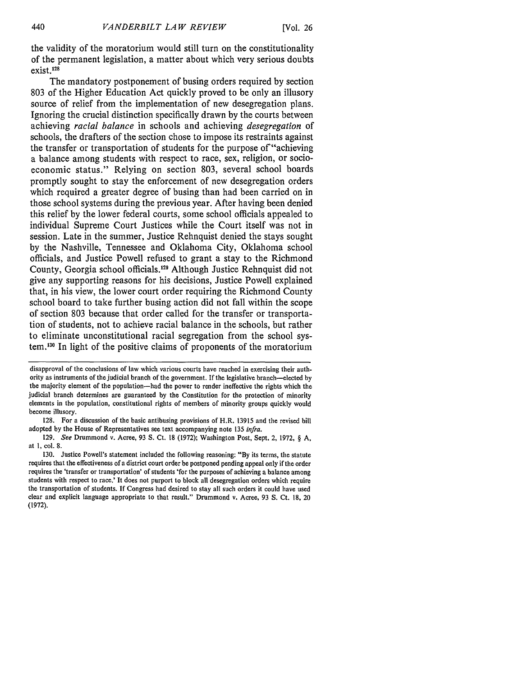the validity of the moratorium would still turn on the constitutionality of the permanent legislation, a matter about which very serious doubts exist.<sup>13</sup>

The mandatory postponement of busing orders required by section 803 of the Higher Education Act quickly proved to be only an illusory source of relief from the implementation of new desegregation plans. Ignoring the crucial distinction specifically drawn by the courts between achieving *racial balance* in schools and achieving *desegregation* of schools, the drafters of the section chose to impose its restraints against the transfer or transportation of students for the purpose of "achieving" a balance among students with respect to race, sex, religion, or socioeconomic status." Relying on section 803, several school boards promptly sought to stay the enforcement of new desegregation orders which required a greater degree of busing than had been carried on in those school systems during the previous year. After having been denied this relief by the lower federal courts, some school officials appealed to individual Supreme Court Justices while the Court itself was not in session. Late in the summer, Justice Rehnquist denied the stays sought by the Nashville, Tennessee and Oklahoma City, Oklahoma school officials, and Justice Powell refused to grant a stay to the Richmond County, Georgia school officials.<sup>129</sup> Although Justice Rehnquist did not give any supporting reasons for his decisions, Justice Powell explained that, in his view, the lower court order requiring the Richmond County school board to take further busing action did not fall within the scope of section 803 because that order called for the transfer or transportation of students, not to achieve racial balance in the schools, but rather to eliminate unconstitutional racial segregation from the school system.<sup>130</sup> In light of the positive claims of proponents of the moratorium

disapproval of the conclusions of law which various courts have reached in exercising their authority as instruments of the judicial branch of the government. If the legislative branch-elected by the majority element of the population-had the power to render ineffective the rights which the judicial branch determines are guaranteed by the Constitution for the protection of minority elements in the population, constitutional rights of members of minority groups quickly would become illusory.

<sup>128.</sup> For a discussion of the basic antibusing provisions of H.R. **13915** and the revised bill adopted by the House of Representatives see text accompanying note 135 infra.

<sup>129.</sup> *See* Drummond v. Acree, 93 S. Ct. 18 (1972); Washington Post, Sept. 2, 1972, § A, at 1, col. 8.

<sup>130.</sup> Justice Powell's statement included the following reasoning: "By its terms, the statute requires that the effectiveness of a district court order be postponed pending appeal only if the order requires the 'transfer or transportation' of students 'for the purposes of achieving a balance among students with respect to race.' It does not purport to block all desegregation orders which require the transportation of students. If Congress had desired to stay all such orders it could have used clear and explicit language appropriate to that result." Drummond v. Acree, 93 S. Ct. **18,** 20 (1972).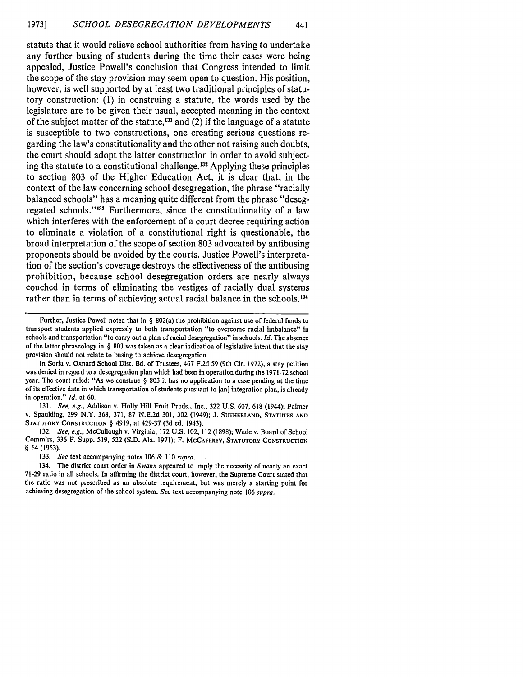statute that it would relieve school authorities from having to undertake any further busing of students during the time their cases were being appealed, Justice Powell's conclusion that Congress intended to limit the scope of the stay provision may seem open to question. His position, however, is well supported **by** at least two traditional principles of statutory construction: **(1)** in construing a statute, the words used **by** the legislature are to be given their usual, accepted meaning in the context of the subject matter of the statute,<sup>131</sup> and  $(2)$  if the language of a statute is susceptible to two constructions, one creating serious questions regarding the law's constitutionality and the other not raising such doubts, the court should adopt the latter construction in order to avoid subjecting the statute to a constitutional challenge.<sup>132</sup> Applying these principles to section **803** of the Higher Education Act, it is clear that, in the context of the law concerning school desegregation, the phrase "racially balanced schools" has a meaning quite different from the phrase "desegregated schools."<sup>133</sup> Furthermore, since the constitutionality of a law which interferes with the enforcement of a court decree requiring action to eliminate a violation of a constitutional right is questionable, the broad interpretation of the scope of section **803** advocated **by** antibusing proponents should be avoided **by** the courts. Justice Powell's interpretation of the section's coverage destroys the effectiveness of the antibusing prohibition, because school desegregation orders are nearly always couched in terms of eliminating the vestiges of racially dual systems rather than in terms of achieving actual racial balance in the **schools. <sup>134</sup>**

In Soria v. Oxnard School Dist. Bd. of Trustees, 467 **F.2d 59** (9th Cir. **1972),** a stay petition was denied in regard to a desegregation plan which had been in operation during the **1971-72** school year. The court ruled: "As we construe **§ 803** it has no application to a case pending at the time of its effective date in which transportation of students pursuant to [an] integration plan, is already in operation." *Id.* at **60.**

**131.** *See, e.g.,* Addison v. Holly Hill Fruit Prods., Inc., **322 U.S. 607, 618** (1944); Palmer **v. Spaulding, 299 N.Y. 368, 371, 87 N.E.2d 301, 302 (1949); J. SUTHERLAND, STArTEs AND STATUTORY CONSTRUCTION § 4919, at 429-37 (3d ed. 1943).**

**132.** *See, e.g.,* **McCullough v. Virginia, 172 U.S. 102, 112 (1898); Wade v. Board of School Comm'rs, 336 F. Supp. 519, 522 (S.D. Ala. 1971); F. MCCAFFREY, STATUTORY CONSTRUCTION § 64 (1953).**

**133.** *See* **text accompanying notes 106 & 110** *supra.*

134. The district court order in *Swann* appeared to imply the necessity of nearly an exact **71-29 ratio in all schools. In affirming the district court, however, the Supreme Court stated that the ratio was not prescribed as an absolute requirement, but was merely a starting point for achieving desegregation of the school system.** *See* **text accompanying note 106** *supra.*

Further, Justice Powell noted that in **§** 802(a) the prohibition against use of federal funds to transport students applied expressly to both transportation "to overcome racial imbalance" in schools and transportation "to carry out a plan of racial desegregation" in schools. *Id.* The absence of the latter phraseology in **§ 803** was taken as a clear indication of legislative intent that the stay provision should not relate to busing to achieve desegregation.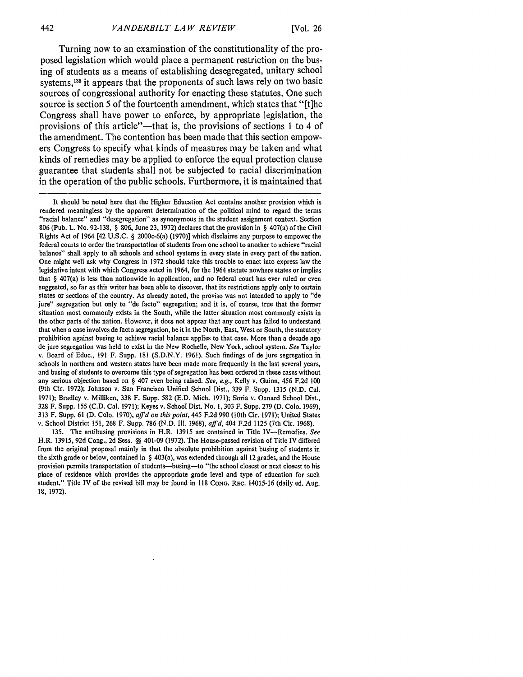Turning now to an examination of the constitutionality of the proposed legislation which would place a permanent restriction on the busing of students as a means of establishing desegregated, unitary school systems,<sup>135</sup> it appears that the proponents of such laws rely on two basic sources of congressional authority for enacting these statutes. One such source is section 5 of the fourteenth amendment, which states that "[t]he Congress shall have power to enforce, by appropriate legislation, the provisions of this article"-that is, the provisions of sections 1 to 4 of the amendment. The contention has been made that this section empowers Congress to specify what kinds of measures may be taken and what kinds of remedies may be applied to enforce the equal protection clause guarantee that students shall not be subjected to racial discrimination in the operation of the public schools. Furthermore, it is maintained that

It should be noted here that the Higher Education Act contains another provision which is rendered meaningless by the apparent determination of the political mind to regard the terms "racial balance" and "desegregation" as synonymous in the student assignment context. Section 806 (Pub. L. No. 92-138, § 806, June 23, 1972) declares that the provision in § 407(a) of the Civil Rights Act of 1964 [42 U.S.C. § 2000c-6(a) (1970)] which disclaims any purpose to empower the federal courts to order the transportation of students from one school to another to achieve "racial balance" shall apply to all schools and school systems in every state in every part of the nation. One might well ask why Congress in 1972 should take this trouble to enact into express law the legislative intent with which Congress acted in 1964, for the 1964 statute nowhere states or implies that § 407(a) is less than nationwide in application, and no federal court has ever ruled or even suggested, so far as this writer has been able to discover, that its restrictions apply only to certain states or sections of the country. As already noted, the proviso was not intended to apply to "de jure" segregation but only to "de facto" segregation; and it is, of course, true that the former situation most commonly exists in the South, while the latter situation most commonly exists in the other parts of the nation. However, it does not appear that any court has failed to understand that when a case involves de facto segregation, be it in the North, East, West or South, the statutory prohibition against busing to achieve racial balance applies to that case. More than a decade ago de jure segregation was held to exist in the New Rochelle, New York, school system. *See* Taylor v. Board of Educ., 191 F. Supp. 181 (S.D.N.Y. 1961). Such findings of de jure segregation in schools in northern and western states have been made more frequently in the last several years, and busing of students to overcome this type of segregation has been ordered in these cases without any serious objection based on § 407 even being raised. *See, e.g.,* Kelly v. Guinn, 456 F.2d 100 (9th Cir. 1972); Johnson v. San Francisco Unified School Dist., 339 F. Supp. 1315 (N.D. Cal. 1971); Bradley v. Milliken, 338 F. Supp. 582 (E.D. Mich. 1971); Soria v. Oxnard School Dist., 328 F. Supp. 155 (C.D. Cal. 1971); Keyes v. School Dist. No. 1,303 F. Supp. 279 (D. Colo. 1969), 313 F. Supp. 61 (D. Colo. 1970), *affd on this point,* 445 F.2d 990 (10th Cir. 1971); United States v. School District 151, 268 F. Supp. 786 (N.D. **I11.** 1968), *affd,* 404 F.2d 1125 (7th Cir. 1968).

135. The antibusing provisions in H.R. 13915 are contained in Title IV-Remedies. *See* H.R. 13915, 92d Cong., 2d Sess. **§§** 401-09 (1972). The House-passed revision of Title IV differed from the original proposal mainly in that the absolute prohibition against busing of students in the sixth grade or below, contained in  $\S$  403(a), was extended through all 12 grades, and the House provision permits transportation of students-busing-to "the school closest or next closest to his place of residence which provides the appropriate grade level and type of education for such student." Title IV of the revised bill may be found in 118 **CONG.** REC. 14015-16 (daily ed. Aug. 18, 1972).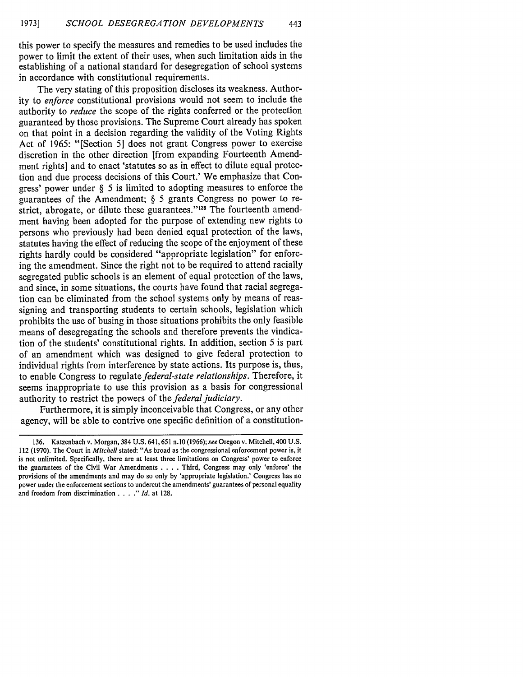this power to specify the measures and remedies to be used includes the power to limit the extent of their uses, when such limitation aids in the establishing of a national standard for desegregation of school systems in accordance with constitutional requirements.

The very stating of this proposition discloses its weakness. Authority to *enforce* constitutional provisions would not seem to include the authority to *reduce* the scope of the rights conferred or the protection guaranteed by those provisions. The Supreme Court already has spoken on that point in a decision regarding the validity of the Voting Rights Act of 1965: "[Section 5] does not grant Congress power to exercise discretion in the other direction [from expanding Fourteenth Amendment rights] and to enact 'statutes so as in effect to dilute equal protection and due process decisions of this Court.' We emphasize that Congress' power under § 5 is limited to adopting measures to enforce the guarantees of the Amendment; § 5 grants Congress no power to restrict, abrogate, or dilute these guarantees."<sup>136</sup> The fourteenth amendment having been adopted for the purpose of extending new rights to persons who previously had been denied equal protection of the laws, statutes having the effect of reducing the scope of the enjoyment of these rights hardly could be considered "appropriate legislation" for enforcing the amendment. Since the right not to be required to attend racially segregated public schools is an element of equal protection of the laws, and since, in some situations, the courts have found that racial segregation can be eliminated from the school systems only by means of reassigning and transporting students to certain schools, legislation which prohibits the use of busing in those situations prohibits the only feasible means of desegregating the schools and therefore prevents the vindication of the students' constitutional rights. In addition, section 5 is part of an amendment which was designed to give federal protection to individual rights from interference by state actions. Its purpose is, thus, to enable Congress to regulate *federal-state relationships.* Therefore, it seems inappropriate to use this provision as a basis for congressional authority to restrict the powers of the *federal judiciary.*

Furthermore, it is simply inconceivable that Congress, or any other agency, will be able to contrive one specific definition of a constitution-

<sup>136.</sup> Katzenbach v. Morgan, 384 U.S. 641, 651 n.10 (1966); *see* Oregon v. Mitchell, 400 U.S. 112 (1970). The Court in *Mitchell* stated: "As broad as the congressional enforcement power is, it is not unlimited. Specifically, there are at least three limitations on Congress' power to enforce the guarantees of the Civil War Amendments .**. .** .Third, Congress may only 'enforce' the provisions of the amendments and may do so only by 'appropriate legislation.' Congress has no power under the enforcement sections to undercut the amendments' guarantees of personal equality and freedom from discrimination .**. . ."** *Id.* at 128.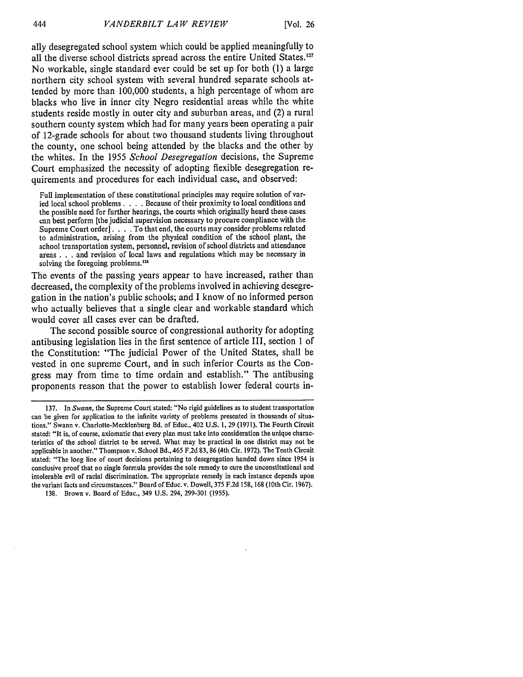ally desegregated school system which could be applied meaningfully to all the diverse school districts spread across the entire United States.<sup>137</sup> No workable, single standard ever could be set up for both **(1)** a large northern city school system with several hundred separate schools attended **by** more than **100,000** students, a high percentage of whom are blacks who live in inner city Negro residential areas while the white students reside mostly in outer city and suburban areas, and (2) a rural southern county system which had for many years been operating a pair of 12-grade schools for about two thousand students living throughout the county, one school being attended **by** the blacks and the other **by** the whites. In the **1955** *School Desegregation* decisions, the Supreme Court emphasized the necessity of adopting flexible desegregation requirements and procedures for each individual case, and observed:

Full implementation of these constitutional principles may require solution of varied local school problems. . **.** . Because of their proximity to local conditions and the possible need for further hearings, the courts which originally heard these cases can best perform [the judicial supervision necessary to procure compliance with the Supreme Court order]. . **.** . To that end, the courts may consider problems related to administration, arising from the physical condition of the school plant, the school transportation system, personnel, revision of school districts and attendance areas . . . and revision of local laws and regulations which may be necessary in solving the foregoing problems.<sup>138</sup>

The events of the passing years appear to have increased, rather than decreased, the complexity of the problems involved in achieving desegregation in the nation's public schools; and I know of no informed person who actually believes that a single clear and workable standard which would cover all cases ever can be drafted.

The second possible source of congressional authority for adopting antibusing legislation lies in the first sentence of article III, section **1** of the Constitution: "The judicial Power of the United States, shall be vested in one supreme Court, and in such inferior Courts as the Congress may from time to time ordain and establish." The antibusing proponents reason that the power to establish lower federal courts in-

<sup>137.</sup> In Swann, the Supreme Court stated: "No rigid guidelines as to student transportation can be given for application to the infinite variety of problems presented in thousands of situations." Swann v. Charlotte-Mecklenburg Bd. of Educ., 402 U.S. 1, 29 (1971). The Fourth Circuit stated: "It is, of course, axiomatic that every plan must take into consideration the unique characteristics of the school district to be served. What may be practical in one district may not be applicable in another." Thompson v. School Bd., 465 F.2d 83, 86 (4th Cir. 1972). The Tenth Circuit stated: "The long line of court decisions pertaining to desegregation handed down since 1954 is conclusive proof that no single formula provides the sole remedy to cure the unconstitutional and intolerable evil of racial discrimination. The appropriate remedy in each instance depends upon the variant facts and circumstances." Board of Educ. v. Dowell, 375 F.2d 158, 168 (10th Cir. 1967).

<sup>138.</sup> Brown v. Board of Educ., 349 U.S. 294, 299-301 (1955).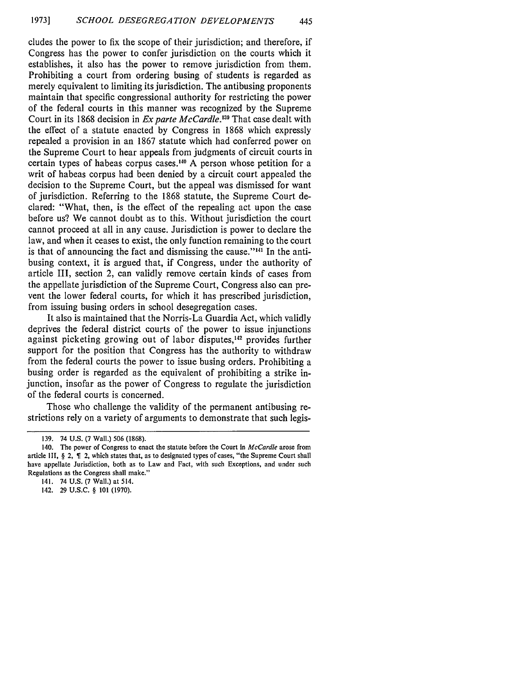cludes the power to fix the scope of their jurisdiction; and therefore, if Congress has the power to confer jurisdiction on the courts which it establishes, it also has the power to remove jurisdiction from them. Prohibiting a court from ordering busing of students is regarded as merely equivalent to limiting its jurisdiction. The antibusing proponents maintain that specific congressional authority for restricting the power of the federal courts in this manner was recognized by the Supreme Court in its 1868 decision in *Ex parte McCardle*.<sup>139</sup> That case dealt with the effect of a statute enacted by Congress in 1868 which expressly repealed a provision in an 1867 statute which had conferred power on the Supreme Court to hear appeals from judgments of circuit courts in certain types of habeas corpus cases.<sup>140</sup> A person whose petition for a writ of habeas corpus had been denied by a circuit court appealed the decision to the Supreme Court, but the appeal was dismissed for want of jurisdiction. Referring to the 1868 statute, the Supreme Court declared: "What, then, is the effect of the repealing act upon the case before us? We cannot doubt as to this. Without jurisdiction the court cannot proceed at all in any cause. Jurisdiction is power to declare the law, and when it ceases to exist, the only function remaining to the court is that of announcing the fact and dismissing the cause."<sup>141</sup> In the antibusing context, it is argued that, if Congress, under the authority of article III, section 2, can validly remove certain kinds of cases from the appellate jurisdiction of the Supreme Court, Congress also can prevent the lower federal courts, for which it has prescribed jurisdiction, from issuing busing orders in school desegregation cases.

It also is maintained that the Norris-La Guardia Act, which validly deprives the federal district courts of the power to issue injunctions against picketing growing out of labor disputes,<sup>142</sup> provides further support for the position that Congress has the authority to withdraw from the federal courts the power to issue busing orders. Prohibiting a busing order is regarded as the equivalent of prohibiting a strike injunction, insofar as the power of Congress to regulate the jurisdiction of the federal courts is concerned.

Those who challenge the validity of the permanent antibusing restrictions rely on a variety of arguments to demonstrate that such legis-

<sup>139. 74</sup> U.S. (7 Wall.) 506 (1868).

<sup>140.</sup> The power of Congress to enact the statute before the Court in *McCardle* arose from article III,  $\S$  2,  $\P$  2, which states that, as to designated types of cases, "the Supreme Court shall have appellate Jurisdiction, both as to Law and Fact, with such Exceptions, and under such Regulations as the Congress shall make."

<sup>141. 74</sup> U.S. (7 Wall.) at 514.

<sup>142. 29</sup> U.S.C. § 101 (1970).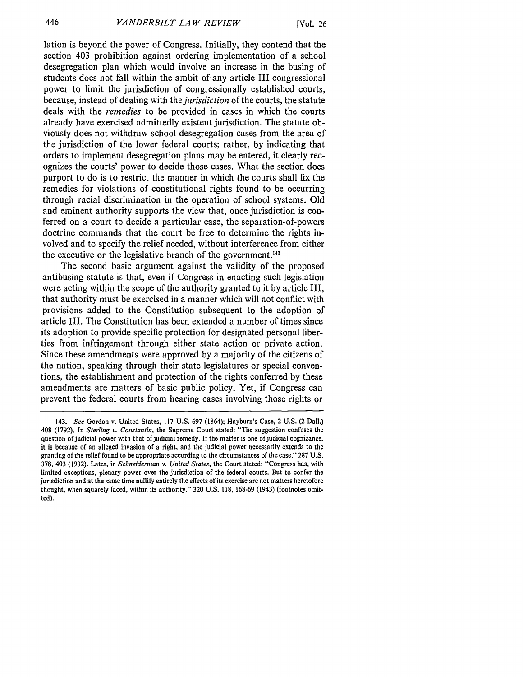lation is beyond the power of Congress. Initially, they contend that the section 403 prohibition against ordering implementation of a school desegregation plan which would involve an increase in the busing of students does not fall within the ambit of any article III congressional power to limit the jurisdiction of congressionally established courts, because, instead of dealing with *the jurisdiction* of the courts, the statute deals with the *remedies* to be provided in cases in which the courts already have exercised admittedly existent jurisdiction. The statute obviously does not withdraw school desegregation cases from the area of the jurisdiction of the lower federal courts; rather, by indicating that orders to implement desegregation plans may be entered, it clearly recognizes the courts' power to decide those cases. What the section does purport to do is to restrict the manner in which the courts shall fix the remedies for violations of constitutional rights found to be occurring through racial discrimination in the operation of school systems. Old and eminent authority supports the view that, once jurisdiction is conferred on a court to decide a particular case, the separation-of-powers doctrine commands that the court be free to determine the rights involved and to specify the relief needed, without interference from either the executive or the legislative branch of the government.<sup>143</sup>

The second basic argument against the validity of the proposed antibusing statute is that, even if Congress in enacting such legislation were acting within the scope of the authority granted to it by article III, that authority must be exercised in a manner which will not conflict with provisions added to the Constitution subsequent to the adoption of article III. The Constitution has been extended a number of times since its adoption to provide specific protection for designated personal liberties from infringement through either state action or private action. Since these amendments were approved by a majority of the citizens of the nation, speaking through their state legislatures or special conventions, the establishment and protection of the rights conferred by these amendments are matters of basic public policy. Yet, if Congress can prevent the federal courts from hearing cases involving those rights or

<sup>143.</sup> *See* Gordon v. United States, 117 U.S. 697 (1864); Hayburn's Case, 2 U.S. (2 DalI.) 408 (1792). In *Sterling v.* Constantin, the Supreme Court stated: "The suggestion confuses the question of judicial power with that of judicial remedy. If the matter is one of judicial cognizance, it is because of an alleged invasion of a right, and the judicial power necessarily extends to the granting of the relief found to be appropriate according to the circumstances of the case." 287 U.S. 378, 403 (1932). Later, in *Schneiderman v. United States,* the Court stated: "Congress has, with limited exceptions, plenary power over the jurisdiction of the federal courts. But to confer the jurisdiction and at the same time nullify entirely the effects of its exercise are not matters heretofore thought, when squarely faced, within its authority." 320 U.S. 118, 168-69 (1943) (footnotes omitted).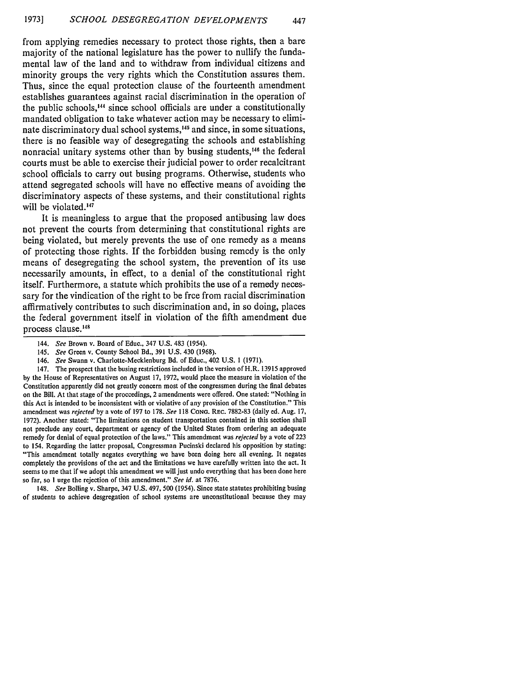from applying remedies necessary to protect those rights, then a bare majority of the national legislature has the power to nullify the fundamental law of the land and to withdraw from individual citizens and minority groups the very rights which the Constitution assures them. Thus, since the equal protection clause of the fourteenth amendment establishes guarantees against racial discrimination in the operation of the public schools,'44 since school officials are under a constitutionally mandated obligation to take whatever action may be necessary to eliminate discriminatory dual school systems,<sup>145</sup> and since, in some situations, there is no feasible way of desegregating the schools and establishing nonracial unitary systems other than by busing students,<sup>146</sup> the federal courts must be able to exercise their judicial power to order recalcitrant school officials to carry out busing programs. Otherwise, students who attend segregated schools will have no effective means of avoiding the discriminatory aspects of these systems, and their constitutional rights will be violated.<sup>147</sup>

It is meaningless to argue that the proposed antibusing law does not prevent the courts from determining that constitutional rights are being violated, but merely prevents the use of one remedy as a means of protecting those rights. If the forbidden busing remedy is the only means of desegregating the school system, the prevention of its use necessarily amounts, in effect, to a denial of the constitutional right itself. Furthermore, a statute which prohibits the use of a remedy necessary for the vindication of the right to be free from racial discrimination affirmatively contributes to such discrimination and, in so doing, places the federal government itself in violation of the fifth amendment due process clause.<sup>148</sup>

147. The prospect that the busing restrictions included in the version of H.R. **13915** approved **by** the House of Representatives on August 17, 1972, would place the measure in violation of the Constitution apparently did not greatly concern most of the congressmen during the final debates on the Bill. At that stage of the proceedings, 2 amendments were offered. One stated: "Nothing in this Act is intended to be inconsistent with or violative of any provision of the Constitution." This amendment was *rejected* **by** a vote of 197 to 178. *See* 118 CONG. REc. 7882-83 (daily ed. Aug. 17, 1972). Another stated: "The limitations on student transportation contained in this section shall not preclude any court, department or agency of the United States from ordering an adequate remedy for denial of equal protection of the laws." This amendment was *rejected* **by** a vote of 223 to 154. Regarding the latter proposal, Congressman Pucinski declared his opposition **by** stating: "This amendment totally negates everything we have been doing here all evening. It negates completely the provisions of the act and the limitations we have carefully written into the act. It seems to me that if we adopt this amendment we will just undo everything that has been done here so far, so I urge the rejection of this amendment." *See id.* at 7876.

148. *See* Boiling v. Sharpe, 347 U.S. 497, 500 (1954). Since state statutes prohibiting busing of students to achieve desgregation of school systems are unconstitutional because they may

<sup>144.</sup> *See* Brown v. Board of Educ., 347 U.S. 483 (1954).

<sup>145.</sup> *See* Green v. County School Bd., 391 U.S. 430 (1968).

<sup>146.</sup> *See* Swann v. Charlotte-Mecklenburg Bd. of Educ., 402 U.S. 1 (1971).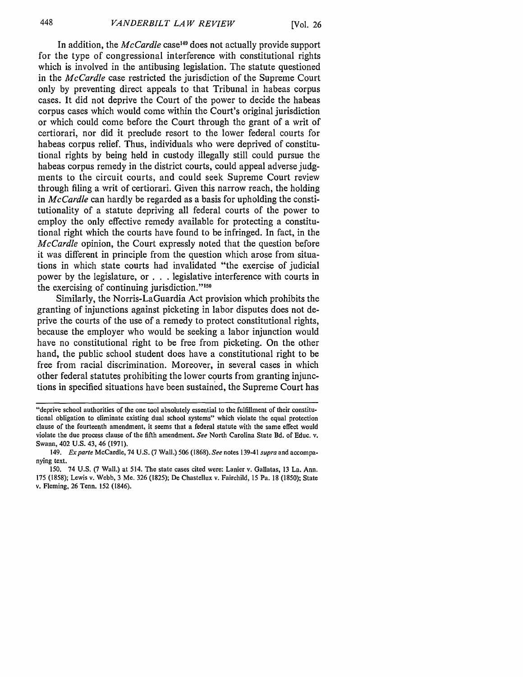In addition, the *McCardle* case<sup>149</sup> does not actually provide support for the type of congressional interference with constitutional rights which is involved in the antibusing legislation. The statute questioned in the *McCardle* case restricted the jurisdiction of the Supreme Court only by preventing direct appeals to that Tribunal in habeas corpus cases. It did not deprive the Court of the power to decide the habeas corpus cases which would come within the Court's original jurisdiction or which could come before the Court through the grant of a writ of certiorari, nor did it preclude resort to the lower federal courts for habeas corpus relief. Thus, individuals who were deprived of constitutional rights by being held in custody illegally still could pursue the habeas corpus remedy in the district courts, could appeal adverse judgments to the circuit courts, and could seek Supreme Court review through filing a writ of certiorari. Given this narrow reach, the holding in *McCardle* can hardly be regarded as a basis for upholding the constitutionality of a statute depriving all federal courts of the power to employ the only effective remedy available for protecting a constitutional right which the courts have found to be infringed. In fact, in the *McCardle* opinion, the Court expressly noted that the question before it was different in principle from the question which arose from situations in which state courts had invalidated "the exercise of judicial power by the legislature, or **. .** .legislative interference with courts in the exercising of continuing jurisdiction."'<sup>50</sup>

Similarly, the Norris-LaGuardia Act provision which prohibits the granting of injunctions against picketing in labor disputes does not deprive the courts of the use of a remedy to protect constitutional rights, because the employer who would be seeking a labor injunction would have no constitutional right to be free from picketing. On the other hand, the public school student does have a constitutional right to be free from racial discrimination. Moreover, in several cases in which other federal statutes prohibiting the lower courts from granting injunctions in specified situations have been sustained, the Supreme Court has

<sup>&</sup>quot;deprive school authorities of the one tool absolutely essential to the fulfillment of their constitutional obligation to eliminate existing dual school systems" which violate the equal protection clause of the fourteenth amendment, it seems that a federal statute with the same effect would violate the due process clause of the fifth amendment. *See* North Carolina State Bd. of Educ. v. Swann, 402 U.S. 43, 46 (1971).

<sup>149.</sup> *Exparte* McCardle, 74 U.S. (7 Wall.) 506 (1868). *See* notes 139-41 *supra* and accompanying text.

<sup>150. 74</sup> U.S. (7 Wall.) at 514. The state cases cited were: Lanier v. Gallatas, 13 La. Ann. 175 (1858); Lewis v. Webb, 3 Me. 326 (1825); De Chastellux v. Fairchild, 15 Pa. 18 (1850); State v. Fleming, 26 Tenn. 152 (1846).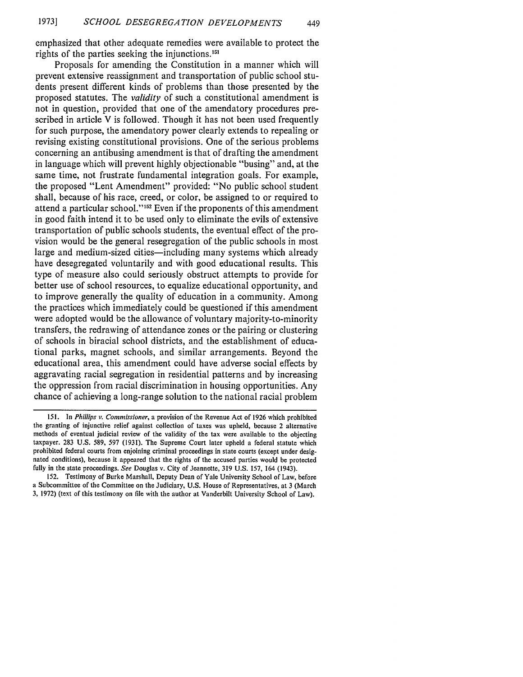emphasized that other adequate remedies were available to protect the rights of the parties seeking the injunctions.<sup>151</sup>

449

Proposals for amending the Constitution in a manner which will prevent extensive reassignment and transportation of public school students present different kinds of problems than those presented by the proposed statutes. The *validity* of such a constitutional amendment is not in question, provided that one of the amendatory procedures prescribed in article V is followed. Though it has not been used frequently for such purpose, the amendatory power clearly extends to repealing or revising existing constitutional provisions. One of the serious problems concerning an antibusing amendment is that of drafting the amendment in language which will prevent highly objectionable "busing" and, at the same time, not frustrate fundamental integration goals. For example, the proposed "Lent Amendment" provided: "No public school student shall, because of his race, creed, or color, be assigned to or required to attend a particular school."'52 Even if the proponents of this amendment in good faith intend it to be used only to eliminate the evils of extensive transportation of public schools students, the eventual effect of the provision would be the general resegregation of the public schools in most large and medium-sized cities—including many systems which already have desegregated voluntarily and with good educational results. This type of measure also could seriously obstruct attempts to provide for better use of school resources, to equalize educational opportunity, and to improve generally the quality of education in a community. Among the practices which immediately could be questioned if this amendment were adopted would be the allowance of voluntary majority-to-minority transfers, the redrawing of attendance zones or the pairing or clustering of schools in biracial school districts, and the establishment of educational parks, magnet schools, and similar arrangements. Beyond the educational area, this amendment could have adverse social effects by aggravating racial segregation in residential patterns and by increasing the oppression from racial discrimination in housing opportunities. Any chance of achieving a long-range solution to the national racial problem

*<sup>151.</sup>* In *Phillips v. Commissioner,* a provision of the Revenue Act of 1926 which prohibited the granting of injunctive relief against collection of taxes was upheld, because 2 alternative methods of eventual judicial review of the validity of the tax were available to the objecting taxpayer. 283 U.S. 589, **597** (1931). The Supreme Court later upheld a federal statute which prohibited federal courts from enjoining criminal proceedings in state courts (except under designated conditions), because it appeared that the rights of the accused parties would be protected fully in the state proceedings. *See* Douglas v. City of Jeannette, 319 U.S. **157,** 164 (1943).

<sup>152.</sup> Testimony of Burke Marshall, Deputy Dean of Yale University School of Law, before a Subcommittee of the Committee on the Judiciary, U.S. House of Representatives, at 3 (March 3, 1972) (text of this testimony on file with the author at Vanderbilt University School of Law).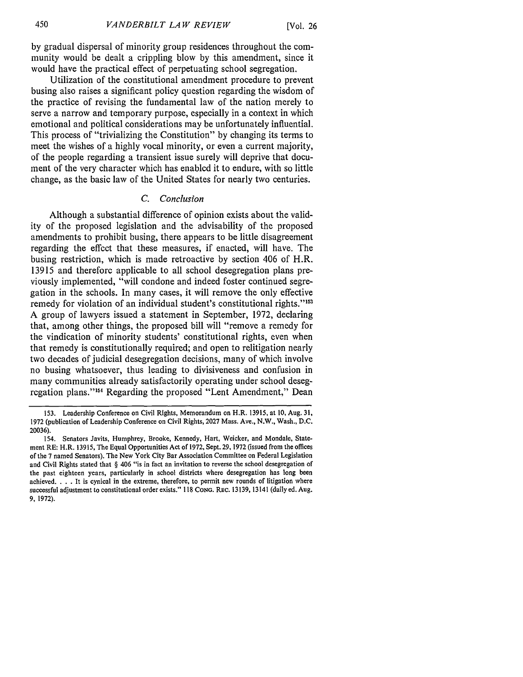by gradual dispersal of minority group residences throughout the community would be dealt a crippling blow by this amendment, since it would have the practical effect of perpetuating school segregation.

Utilization of the constitutional amendment procedure to prevent busing also raises a significant policy question regarding the wisdom of the practice of revising the fundamental law of the nation merely to serve a narrow and temporary purpose, especially in a context in which emotional and political considerations may be unfortunately influential. This process of "trivializing the Constitution" by changing its terms to meet the wishes of a highly vocal minority, or even a current majority, of the people regarding a transient issue surely will deprive that document of the very character which has enabled it to endure, with so little change, as the basic law of the United States for nearly two centuries.

#### *C. Conclusion*

Although a substantial difference of opinion exists about the validity of the proposed legislation and the advisability of the proposed amendments to prohibit busing, there appears to be little disagreement regarding the effect that these measures, if enacted, will have. The busing restriction, which is made retroactive by section 406 of H.R. 13915 and therefore applicable to all school desegregation plans previously implemented, "will condone and indeed foster continued segregation in the schools. In many cases, it will remove the only effective remedy for violation of an individual student's constitutional rights."<sup>153</sup> A group of lawyers issued a statement in September, 1972, declaring that, among other things, the proposed bill will "remove a remedy for the vindication of minority students' constitutional rights, even when that remedy is constitutionally required; and open to relitigation nearly two decades of judicial desegregation decisions, many of which involve no busing whatsoever, thus leading to divisiveness and confusion in many communities already satisfactorily operating under school desegregation plans." 154 Regarding the proposed "Lent Amendment," Dean

<sup>153.</sup> Leadership Conference on Civil Rights, Memorandum on H.R. 13915, at 10, Aug. 31, 1972 (publication of Leadership Conference on Civil Rights, 2027 Mass. Ave., N.W., Wash., D.C. 20036).

<sup>154.</sup> Senators Javits, Humphrey, Brooke, Kennedy, Hart, Weicker, and Mondale, Statement RE: H.R. 13915, The Equal Opportunities Act of 1972, Sept. 29, **1972** (issued from the offices of the **7** named Senators). The New York City Bar Association Committee on Federal Legislation and Civil Rights stated that § 406 "is in fact an invitation to reverse the school desegregation of the past eighteen years, particularly in school districts where desegregation has long been achieved. . **.** . It is cynical in the extreme, therefore, to permit new rounds of litigation where successful adjustment to constitutional order exists." **118 CONG.** REC. 13139, 13141 (daily ed. Aug. 9, 1972).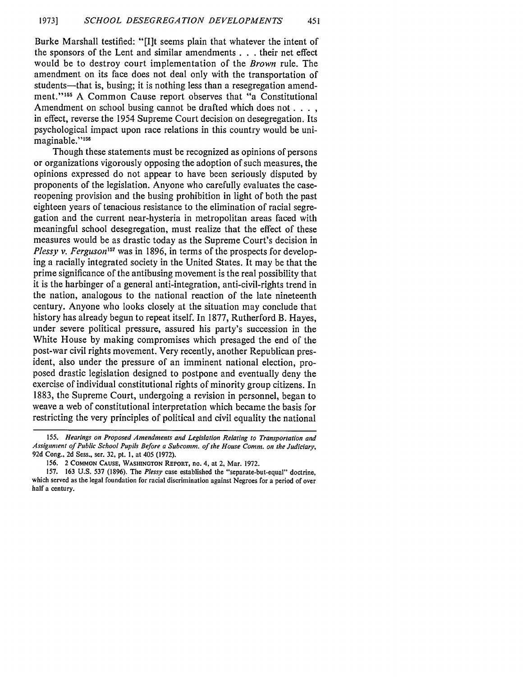451

Burke Marshall testified: "[I]t seems plain that whatever the intent of the sponsors of the Lent and similar amendments **. . .** their net effect would be to destroy court implementation of the *Brown* rule. The amendment on its face does not deal only with the transportation of students—that is, busing; it is nothing less than a resegregation amendment."<sup>155</sup> A Common Cause report observes that "a Constitutional Amendment on school busing cannot be drafted which does not . . . . in effect, reverse the 1954 Supreme Court decision on desegregation. Its psychological impact upon race relations in this country would be unimaginable."<sup>156</sup>

Though these statements must be recognized as opinions of persons or organizations vigorously opposing the adoption of such measures, the opinions expressed do not appear to have been seriously disputed by proponents of the legislation. Anyone who carefully evaluates the casereopening provision and the busing prohibition in light of both the past eighteen years of tenacious resistance to the elimination of racial segregation and the current near-hysteria in metropolitan areas faced with meaningful school desegregation, must realize that the effect of these measures would be as drastic today as the Supreme Court's decision in *Plessy v. Ferguson'57* was in 1896, in terms of the prospects for developing a racially integrated society in the United States. It may be that the prime significance of the antibusing movement is the real possibility that it is the harbinger of a general anti-integration, anti-civil-rights trend in the nation, analogous to the national reaction of the late nineteenth century. Anyone who looks closely at the situation may conclude that history has already begun to repeat itself. In 1877, Rutherford B. Hayes, under severe political pressure, assured his party's succession in the White House by making compromises which presaged the end of the post-war civil rights movement. Very recently, another Republican president, also under the pressure of an imminent national election, proposed drastic legislation designed to postpone and eventually deny the exercise of individual constitutional rights of minority group citizens. In 1883, the Supreme Court, undergoing a revision in personnel, began to weave a web of constitutional interpretation which became the basis for restricting the very principles of political and civil equality the national

*<sup>155.</sup> Hearings on Proposed Amendments and Legislation Relating to Transportation and Assignment of Public School Pupils Before a Subcomm. of the House Comm. on the Judiciary,* 92d Cong., 2d Sess., ser. **32,** pt. **1,** at 405 (1972).

<sup>156. 2</sup> **COMMON CAUSE, WASHINGTON** REPORT, no. 4, at 2, Mar. 1972.

<sup>157. 163</sup> U.S. 537 (1896). The *Plessy* case established the "separate-but-equal" doctrine, which served as the legal foundation for racial discrimination against Negroes for a period of over half a century.